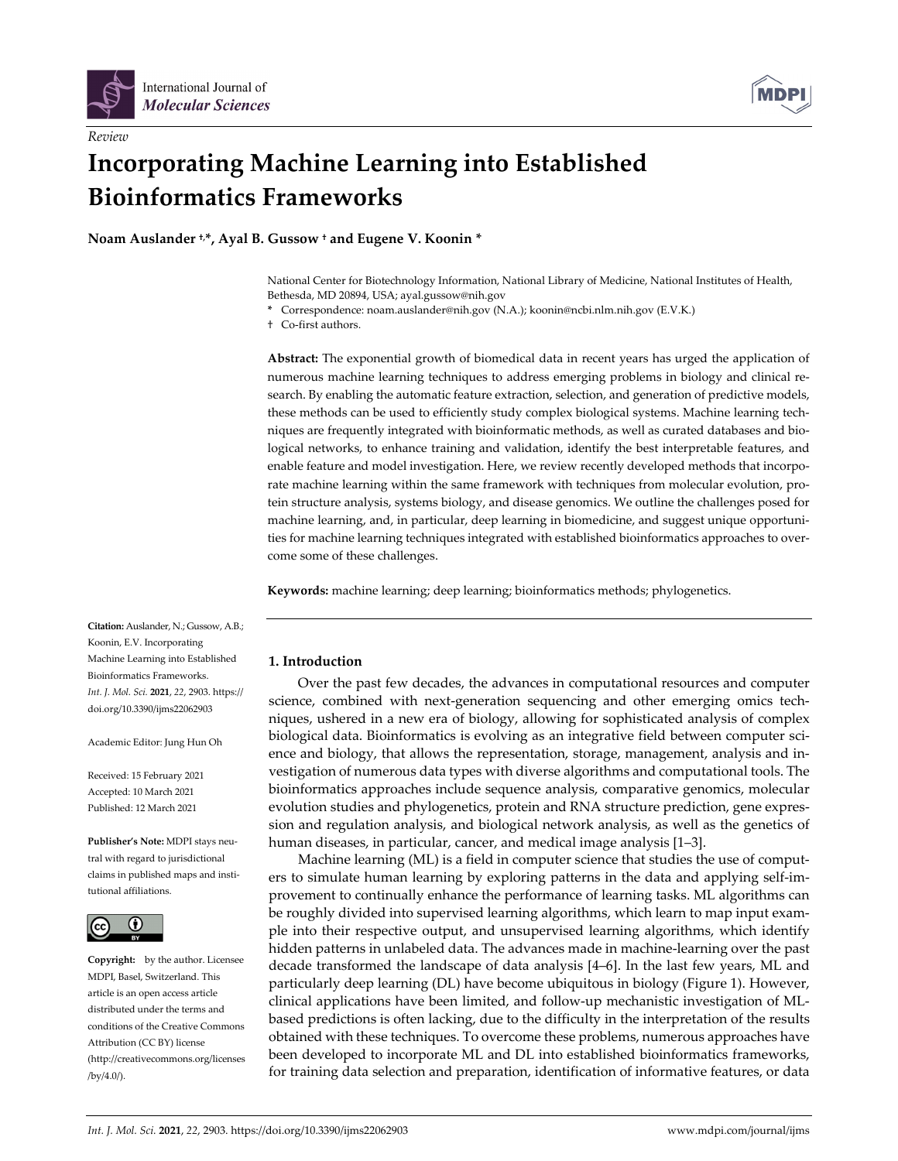

*Review*



# **Incorporating Machine Learning into Established Bioinformatics Frameworks**

**Noam Auslander †,\*, Ayal B. Gussow † and Eugene V. Koonin \***

National Center for Biotechnology Information, National Library of Medicine, National Institutes of Health, Bethesda, MD 20894, USA; ayal.gussow@nih.gov

**\*** Correspondence: noam.auslander@nih.gov (N.A.); koonin@ncbi.nlm.nih.gov (E.V.K.)

† Co‐first authors.

**Abstract:** The exponential growth of biomedical data in recent years has urged the application of numerous machine learning techniques to address emerging problems in biology and clinical re‐ search. By enabling the automatic feature extraction, selection, and generation of predictive models, these methods can be used to efficiently study complex biological systems. Machine learning tech‐ niques are frequently integrated with bioinformatic methods, as well as curated databases and bio‐ logical networks, to enhance training and validation, identify the best interpretable features, and enable feature and model investigation. Here, we review recently developed methods that incorporate machine learning within the same framework with techniques from molecular evolution, protein structure analysis, systems biology, and disease genomics. We outline the challenges posed for machine learning, and, in particular, deep learning in biomedicine, and suggest unique opportunities for machine learning techniques integrated with established bioinformatics approaches to overcome some of these challenges.

**Keywords:** machine learning; deep learning; bioinformatics methods; phylogenetics.

**Citation:** Auslander, N.; Gussow, A.B.; Koonin, E.V. Incorporating Machine Learning into Established Bioinformatics Frameworks. *Int. J. Mol. Sci.* **2021**, *22*, 2903. https:// doi.org/10.3390/ijms22062903

Academic Editor: Jung Hun Oh

Received: 15 February 2021 Accepted: 10 March 2021 Published: 12 March 2021

**Publisher's Note:** MDPI stays neu‐ tral with regard to jurisdictional claims in published maps and insti‐ tutional affiliations.



**Copyright:** by the author. Licensee MDPI, Basel, Switzerland. This article is an open access article distributed under the terms and conditions of the Creative Commons Attribution (CC BY) license (http://creativecommons.org/licenses /by/4.0/).

## **1. Introduction**

Over the past few decades, the advances in computational resources and computer science, combined with next-generation sequencing and other emerging omics techniques, ushered in a new era of biology, allowing for sophisticated analysis of complex biological data. Bioinformatics is evolving as an integrative field between computer sci‐ ence and biology, that allows the representation, storage, management, analysis and in‐ vestigation of numerous data types with diverse algorithms and computational tools. The bioinformatics approaches include sequence analysis, comparative genomics, molecular evolution studies and phylogenetics, protein and RNA structure prediction, gene expres‐ sion and regulation analysis, and biological network analysis, as well as the genetics of human diseases, in particular, cancer, and medical image analysis [1–3].

Machine learning (ML) is a field in computer science that studies the use of computers to simulate human learning by exploring patterns in the data and applying self-improvement to continually enhance the performance of learning tasks. ML algorithms can be roughly divided into supervised learning algorithms, which learn to map input example into their respective output, and unsupervised learning algorithms, which identify hidden patterns in unlabeled data. The advances made in machine‐learning over the past decade transformed the landscape of data analysis [4–6]. In the last few years, ML and particularly deep learning (DL) have become ubiquitous in biology (Figure 1). However, clinical applications have been limited, and follow‐up mechanistic investigation of ML‐ based predictions is often lacking, due to the difficulty in the interpretation of the results obtained with these techniques. To overcome these problems, numerous approaches have been developed to incorporate ML and DL into established bioinformatics frameworks, for training data selection and preparation, identification of informative features, or data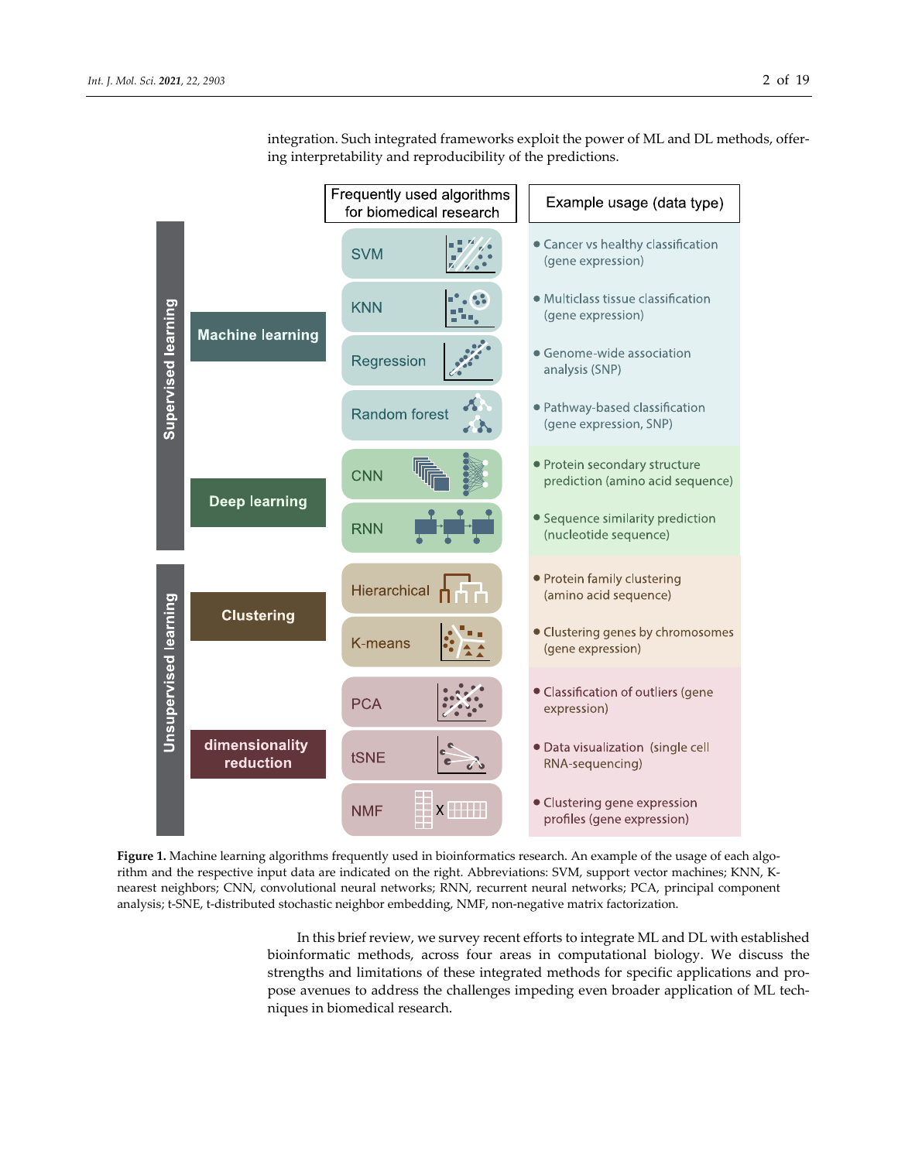

integration. Such integrated frameworks exploit the power of ML and DL methods, offer‐ ing interpretability and reproducibility of the predictions.

Figure 1. Machine learning algorithms frequently used in bioinformatics research. An example of the usage of each algorithm and the respective input data are indicated on the right. Abbreviations: SVM, support vector machines; KNN, K‐ nearest neighbors; CNN, convolutional neural networks; RNN, recurrent neural networks; PCA, principal component analysis; t-SNE, t-distributed stochastic neighbor embedding, NMF, non-negative matrix factorization.

In this brief review, we survey recent efforts to integrate ML and DL with established bioinformatic methods, across four areas in computational biology. We discuss the strengths and limitations of these integrated methods for specific applications and pro‐ pose avenues to address the challenges impeding even broader application of ML techniques in biomedical research.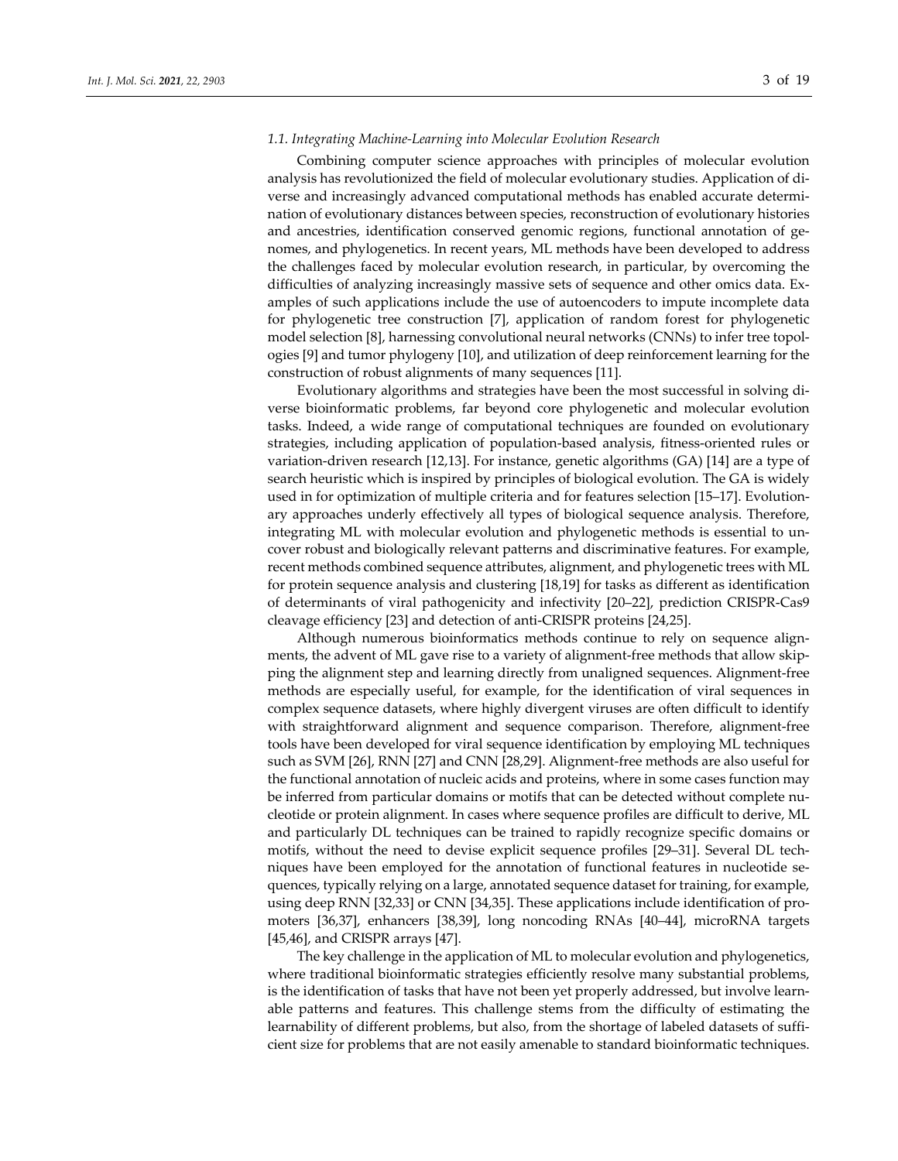### *1.1. Integrating Machine‐Learning into Molecular Evolution Research*

Combining computer science approaches with principles of molecular evolution analysis has revolutionized the field of molecular evolutionary studies. Application of di‐ verse and increasingly advanced computational methods has enabled accurate determi‐ nation of evolutionary distances between species, reconstruction of evolutionary histories and ancestries, identification conserved genomic regions, functional annotation of genomes, and phylogenetics. In recent years, ML methods have been developed to address the challenges faced by molecular evolution research, in particular, by overcoming the difficulties of analyzing increasingly massive sets of sequence and other omics data. Ex‐ amples of such applications include the use of autoencoders to impute incomplete data for phylogenetic tree construction [7], application of random forest for phylogenetic model selection [8], harnessing convolutional neural networks (CNNs) to infer tree topol‐ ogies [9] and tumor phylogeny [10], and utilization of deep reinforcement learning for the construction of robust alignments of many sequences [11].

Evolutionary algorithms and strategies have been the most successful in solving di‐ verse bioinformatic problems, far beyond core phylogenetic and molecular evolution tasks. Indeed, a wide range of computational techniques are founded on evolutionary strategies, including application of population‐based analysis, fitness‐oriented rules or variation-driven research [12,13]. For instance, genetic algorithms (GA) [14] are a type of search heuristic which is inspired by principles of biological evolution. The GA is widely used in for optimization of multiple criteria and for features selection [15–17]. Evolution‐ ary approaches underly effectively all types of biological sequence analysis. Therefore, integrating ML with molecular evolution and phylogenetic methods is essential to un‐ cover robust and biologically relevant patterns and discriminative features. For example, recent methods combined sequence attributes, alignment, and phylogenetic trees with ML for protein sequence analysis and clustering [18,19] for tasks as different as identification of determinants of viral pathogenicity and infectivity [20–22], prediction CRISPR‐Cas9 cleavage efficiency [23] and detection of anti‐CRISPR proteins [24,25].

Although numerous bioinformatics methods continue to rely on sequence alignments, the advent of ML gave rise to a variety of alignment-free methods that allow skipping the alignment step and learning directly from unaligned sequences. Alignment‐free methods are especially useful, for example, for the identification of viral sequences in complex sequence datasets, where highly divergent viruses are often difficult to identify with straightforward alignment and sequence comparison. Therefore, alignment-free tools have been developed for viral sequence identification by employing ML techniques such as SVM [26], RNN [27] and CNN [28,29]. Alignment‐free methods are also useful for the functional annotation of nucleic acids and proteins, where in some cases function may be inferred from particular domains or motifs that can be detected without complete nucleotide or protein alignment. In cases where sequence profiles are difficult to derive, ML and particularly DL techniques can be trained to rapidly recognize specific domains or motifs, without the need to devise explicit sequence profiles [29–31]. Several DL techniques have been employed for the annotation of functional features in nucleotide sequences, typically relying on a large, annotated sequence dataset fortraining, for example, using deep RNN [32,33] or CNN [34,35]. These applications include identification of pro‐ moters [36,37], enhancers [38,39], long noncoding RNAs [40–44], microRNA targets [45,46], and CRISPR arrays [47].

The key challenge in the application of ML to molecular evolution and phylogenetics, where traditional bioinformatic strategies efficiently resolve many substantial problems, is the identification of tasks that have not been yet properly addressed, but involve learnable patterns and features. This challenge stems from the difficulty of estimating the learnability of different problems, but also, from the shortage of labeled datasets of suffi‐ cient size for problems that are not easily amenable to standard bioinformatic techniques.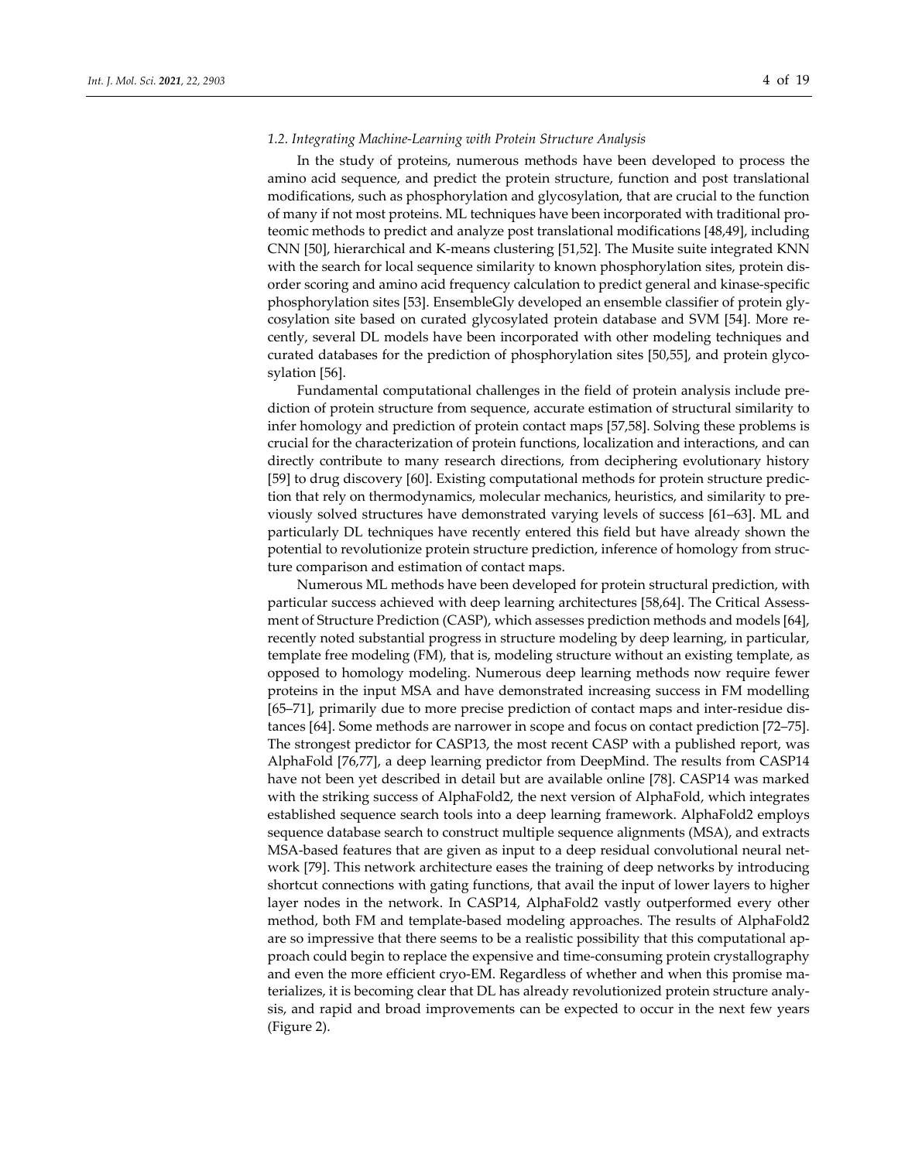### *1.2. Integrating Machine‐Learning with Protein Structure Analysis*

In the study of proteins, numerous methods have been developed to process the amino acid sequence, and predict the protein structure, function and post translational modifications, such as phosphorylation and glycosylation, that are crucial to the function of many if not most proteins. ML techniques have been incorporated with traditional pro‐ teomic methods to predict and analyze post translational modifications [48,49], including CNN [50], hierarchical and K‐means clustering [51,52]. The Musite suite integrated KNN with the search for local sequence similarity to known phosphorylation sites, protein disorder scoring and amino acid frequency calculation to predict general and kinase‐specific phosphorylation sites [53]. EnsembleGly developed an ensemble classifier of protein gly‐ cosylation site based on curated glycosylated protein database and SVM [54]. More re‐ cently, several DL models have been incorporated with other modeling techniques and curated databases for the prediction of phosphorylation sites [50,55], and protein glyco‐ sylation [56].

Fundamental computational challenges in the field of protein analysis include pre‐ diction of protein structure from sequence, accurate estimation of structural similarity to infer homology and prediction of protein contact maps [57,58]. Solving these problems is crucial for the characterization of protein functions, localization and interactions, and can directly contribute to many research directions, from deciphering evolutionary history [59] to drug discovery [60]. Existing computational methods for protein structure predic‐ tion that rely on thermodynamics, molecular mechanics, heuristics, and similarity to pre‐ viously solved structures have demonstrated varying levels of success [61–63]. ML and particularly DL techniques have recently entered this field but have already shown the potential to revolutionize protein structure prediction, inference of homology from struc‐ ture comparison and estimation of contact maps.

Numerous ML methods have been developed for protein structural prediction, with particular success achieved with deep learning architectures [58,64]. The Critical Assessment of Structure Prediction (CASP), which assesses prediction methods and models [64], recently noted substantial progress in structure modeling by deep learning, in particular, template free modeling (FM), that is, modeling structure without an existing template, as opposed to homology modeling. Numerous deep learning methods now require fewer proteins in the input MSA and have demonstrated increasing success in FM modelling [65–71], primarily due to more precise prediction of contact maps and inter‐residue dis‐ tances [64]. Some methods are narrower in scope and focus on contact prediction [72–75]. The strongest predictor for CASP13, the most recent CASP with a published report, was AlphaFold [76,77], a deep learning predictor from DeepMind. The results from CASP14 have not been yet described in detail but are available online [78]. CASP14 was marked with the striking success of AlphaFold2, the next version of AlphaFold, which integrates established sequence search tools into a deep learning framework. AlphaFold2 employs sequence database search to construct multiple sequence alignments (MSA), and extracts MSA-based features that are given as input to a deep residual convolutional neural network [79]. This network architecture eases the training of deep networks by introducing shortcut connections with gating functions, that avail the input of lower layers to higher layer nodes in the network. In CASP14, AlphaFold2 vastly outperformed every other method, both FM and template‐based modeling approaches. The results of AlphaFold2 are so impressive that there seems to be a realistic possibility that this computational ap‐ proach could begin to replace the expensive and time‐consuming protein crystallography and even the more efficient cryo-EM. Regardless of whether and when this promise materializes, it is becoming clear that DL has already revolutionized protein structure analy‐ sis, and rapid and broad improvements can be expected to occur in the next few years (Figure 2).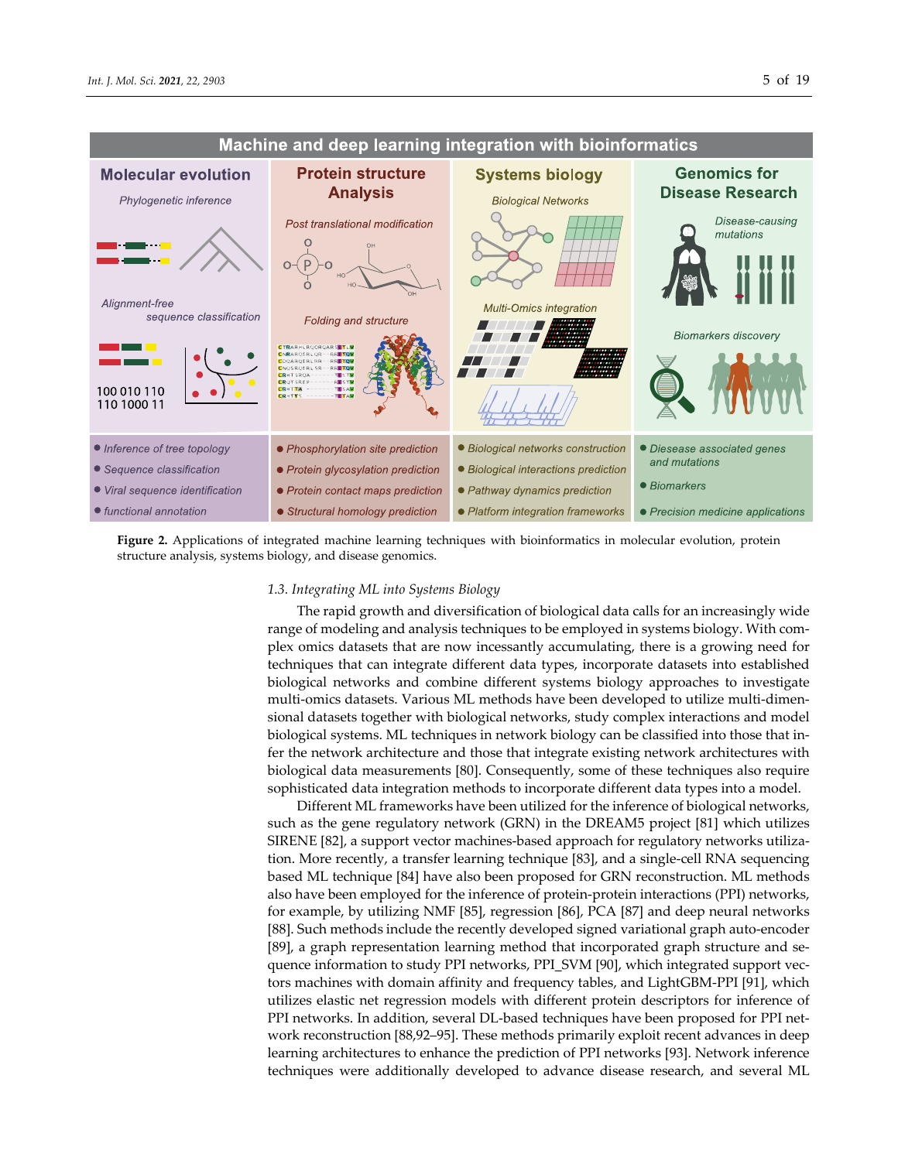



**Figure 2.** Applications of integrated machine learning techniques with bioinformatics in molecular evolution, protein structure analysis, systems biology, and disease genomics.

## *1.3. Integrating ML into Systems Biology*

The rapid growth and diversification of biological data calls for an increasingly wide range of modeling and analysis techniques to be employed in systems biology. With complex omics datasets that are now incessantly accumulating, there is a growing need for techniques that can integrate different data types, incorporate datasets into established biological networks and combine different systems biology approaches to investigate multi-omics datasets. Various ML methods have been developed to utilize multi-dimensional datasets together with biological networks, study complex interactions and model biological systems. ML techniques in network biology can be classified into those that in‐ fer the network architecture and those that integrate existing network architectures with biological data measurements [80]. Consequently, some of these techniques also require sophisticated data integration methods to incorporate different data types into a model.

Different ML frameworks have been utilized for the inference of biological networks, such as the gene regulatory network (GRN) in the DREAM5 project [81] which utilizes SIRENE [82], a support vector machines-based approach for regulatory networks utilization. More recently, a transfer learning technique [83], and a single‐cell RNA sequencing based ML technique [84] have also been proposed for GRN reconstruction. ML methods also have been employed for the inference of protein‐protein interactions (PPI) networks, for example, by utilizing NMF [85], regression [86], PCA [87] and deep neural networks [88]. Such methods include the recently developed signed variational graph auto‐encoder [89], a graph representation learning method that incorporated graph structure and se‐ quence information to study PPI networks, PPI\_SVM [90], which integrated support vectors machines with domain affinity and frequency tables, and LightGBM‐PPI [91], which utilizes elastic net regression models with different protein descriptors for inference of PPI networks. In addition, several DL‐based techniques have been proposed for PPI net‐ work reconstruction [88,92–95]. These methods primarily exploit recent advances in deep learning architectures to enhance the prediction of PPI networks [93]. Network inference techniques were additionally developed to advance disease research, and several ML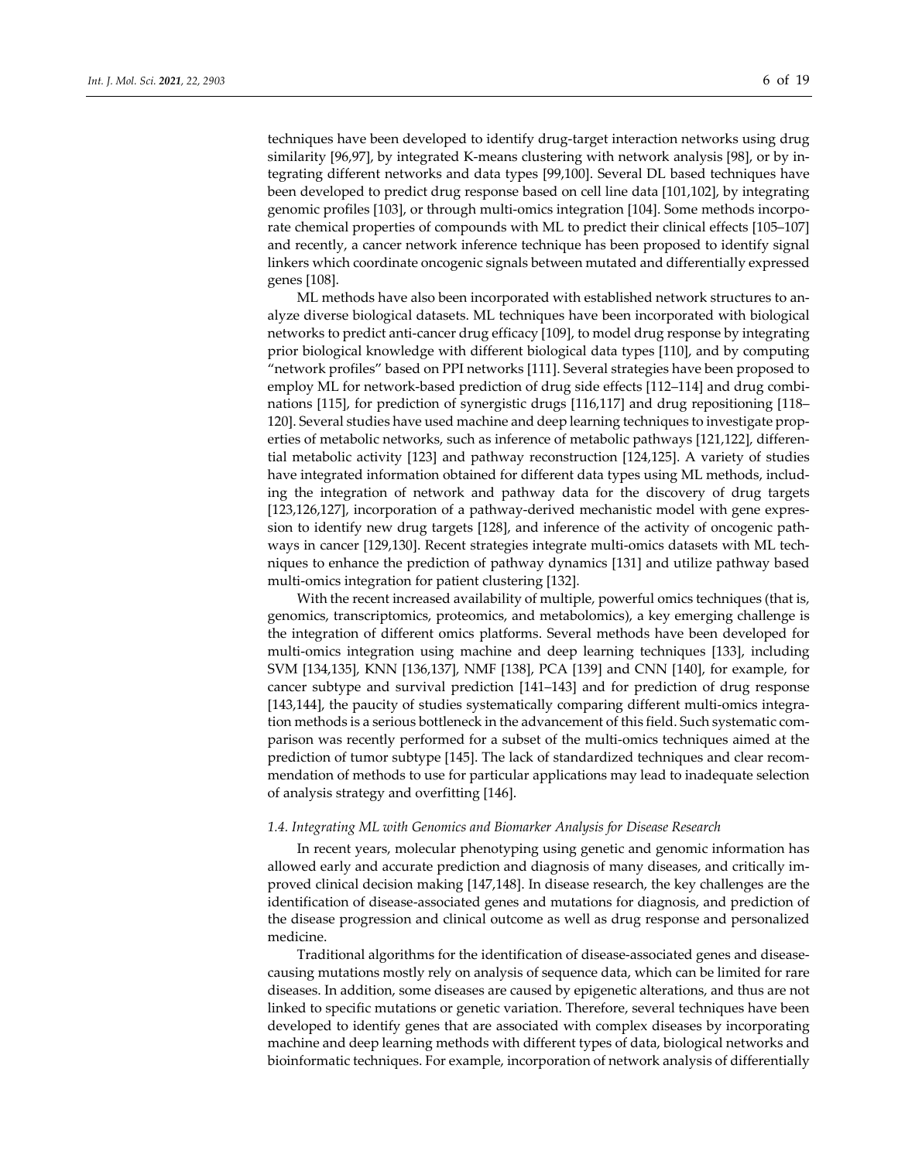techniques have been developed to identify drug‐target interaction networks using drug similarity [96,97], by integrated K-means clustering with network analysis [98], or by integrating different networks and data types [99,100]. Several DL based techniques have been developed to predict drug response based on cell line data [101,102], by integrating genomic profiles [103], or through multi-omics integration [104]. Some methods incorporate chemical properties of compounds with ML to predict their clinical effects [105–107] and recently, a cancer network inference technique has been proposed to identify signal linkers which coordinate oncogenic signals between mutated and differentially expressed genes [108].

ML methods have also been incorporated with established network structures to an‐ alyze diverse biological datasets. ML techniques have been incorporated with biological networks to predict anti‐cancer drug efficacy [109], to model drug response by integrating prior biological knowledge with different biological data types [110], and by computing "network profiles" based on PPI networks [111]. Several strategies have been proposed to employ ML for network-based prediction of drug side effects [112–114] and drug combinations [115], for prediction of synergistic drugs [116,117] and drug repositioning [118– 120]. Several studies have used machine and deep learning techniques to investigate prop‐ erties of metabolic networks, such as inference of metabolic pathways [121,122], differential metabolic activity [123] and pathway reconstruction [124,125]. A variety of studies have integrated information obtained for different data types using ML methods, including the integration of network and pathway data for the discovery of drug targets [123,126,127], incorporation of a pathway-derived mechanistic model with gene expression to identify new drug targets [128], and inference of the activity of oncogenic path‐ ways in cancer [129,130]. Recent strategies integrate multi-omics datasets with ML techniques to enhance the prediction of pathway dynamics [131] and utilize pathway based multi‐omics integration for patient clustering [132].

With the recent increased availability of multiple, powerful omics techniques (that is, genomics, transcriptomics, proteomics, and metabolomics), a key emerging challenge is the integration of different omics platforms. Several methods have been developed for multi‐omics integration using machine and deep learning techniques [133], including SVM [134,135], KNN [136,137], NMF [138], PCA [139] and CNN [140], for example, for cancer subtype and survival prediction [141–143] and for prediction of drug response [143,144], the paucity of studies systematically comparing different multi-omics integration methods is a serious bottleneck in the advancement of this field. Such systematic com‐ parison was recently performed for a subset of the multi-omics techniques aimed at the prediction of tumor subtype [145]. The lack of standardized techniques and clear recom‐ mendation of methods to use for particular applications may lead to inadequate selection of analysis strategy and overfitting [146].

#### *1.4. Integrating ML with Genomics and Biomarker Analysis for Disease Research*

In recent years, molecular phenotyping using genetic and genomic information has allowed early and accurate prediction and diagnosis of many diseases, and critically im‐ proved clinical decision making [147,148]. In disease research, the key challenges are the identification of disease‐associated genes and mutations for diagnosis, and prediction of the disease progression and clinical outcome as well as drug response and personalized medicine.

Traditional algorithms for the identification of disease‐associated genes and disease‐ causing mutations mostly rely on analysis of sequence data, which can be limited for rare diseases. In addition, some diseases are caused by epigenetic alterations, and thus are not linked to specific mutations or genetic variation. Therefore, several techniques have been developed to identify genes that are associated with complex diseases by incorporating machine and deep learning methods with different types of data, biological networks and bioinformatic techniques. For example, incorporation of network analysis of differentially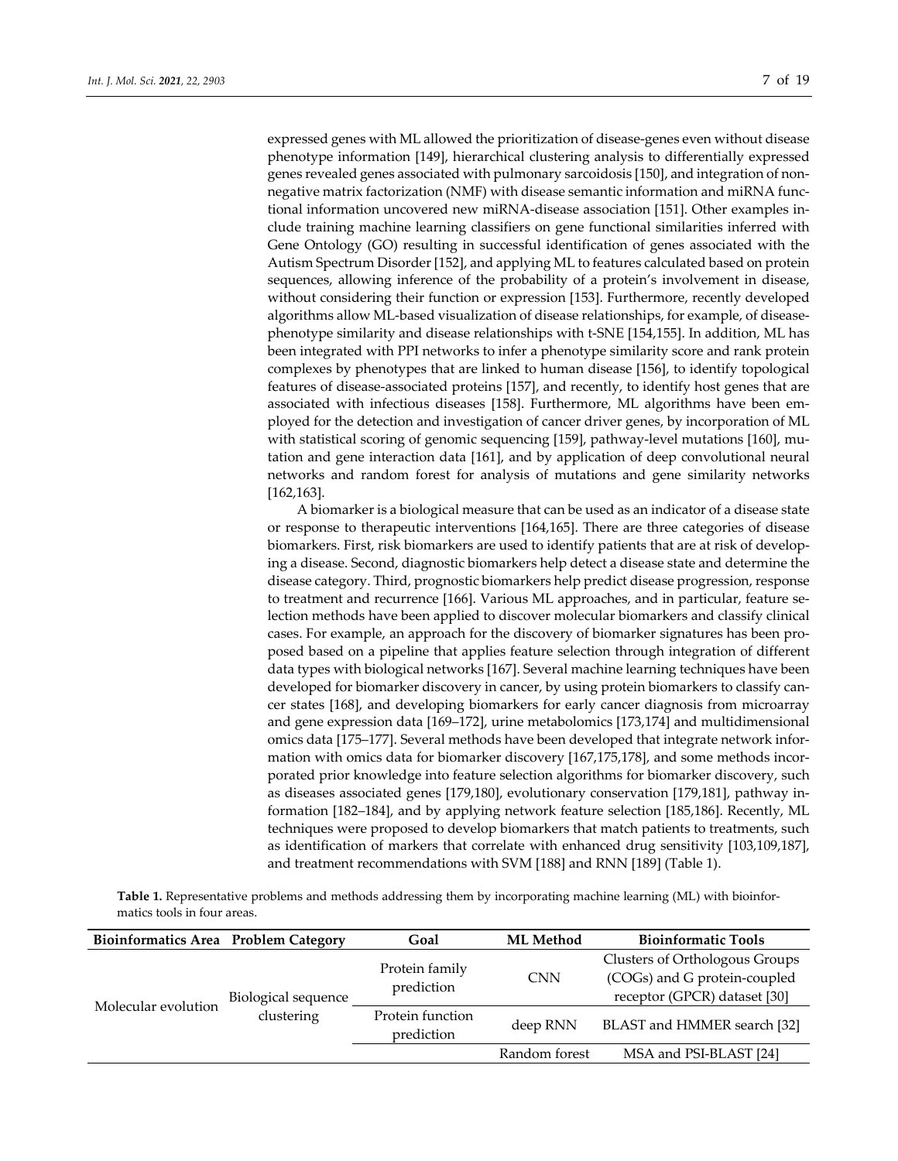expressed genes with ML allowed the prioritization of disease‐genes even without disease phenotype information [149], hierarchical clustering analysis to differentially expressed genes revealed genes associated with pulmonary sarcoidosis [150], and integration of non‐ negative matrix factorization (NMF) with disease semantic information and miRNA func‐ tional information uncovered new miRNA‐disease association [151]. Other examples in‐ clude training machine learning classifiers on gene functional similarities inferred with Gene Ontology (GO) resulting in successful identification of genes associated with the Autism Spectrum Disorder [152], and applying ML to features calculated based on protein sequences, allowing inference of the probability of a protein's involvement in disease, without considering their function or expression [153]. Furthermore, recently developed algorithms allow ML‐based visualization of disease relationships, for example, of disease‐ phenotype similarity and disease relationships with t‐SNE [154,155]. In addition, ML has been integrated with PPI networks to infer a phenotype similarity score and rank protein complexes by phenotypes that are linked to human disease [156], to identify topological features of disease‐associated proteins [157], and recently, to identify host genes that are associated with infectious diseases [158]. Furthermore, ML algorithms have been employed for the detection and investigation of cancer driver genes, by incorporation of ML with statistical scoring of genomic sequencing [159], pathway-level mutations [160], mutation and gene interaction data [161], and by application of deep convolutional neural networks and random forest for analysis of mutations and gene similarity networks [162,163].

A biomarker is a biological measure that can be used as an indicator of a disease state or response to therapeutic interventions [164,165]. There are three categories of disease biomarkers. First, risk biomarkers are used to identify patients that are at risk of develop‐ ing a disease. Second, diagnostic biomarkers help detect a disease state and determine the disease category. Third, prognostic biomarkers help predict disease progression, response to treatment and recurrence [166]. Various ML approaches, and in particular, feature selection methods have been applied to discover molecular biomarkers and classify clinical cases. For example, an approach for the discovery of biomarker signatures has been pro‐ posed based on a pipeline that applies feature selection through integration of different data types with biological networks [167]. Several machine learning techniques have been developed for biomarker discovery in cancer, by using protein biomarkers to classify cancer states [168], and developing biomarkers for early cancer diagnosis from microarray and gene expression data [169–172], urine metabolomics [173,174] and multidimensional omics data [175–177]. Several methods have been developed that integrate network infor‐ mation with omics data for biomarker discovery [167,175,178], and some methods incorporated prior knowledge into feature selection algorithms for biomarker discovery, such as diseases associated genes [179,180], evolutionary conservation [179,181], pathway in‐ formation [182–184], and by applying network feature selection [185,186]. Recently, ML techniques were proposed to develop biomarkers that match patients to treatments, such as identification of markers that correlate with enhanced drug sensitivity [103,109,187], and treatment recommendations with SVM [188] and RNN [189] (Table 1).

**Table 1.** Representative problems and methods addressing them by incorporating machine learning (ML) with bioinfor‐ matics tools in four areas.

| <b>Bioinformatics Area</b> Problem Category |                                                          | Goal                           | <b>ML</b> Method | <b>Bioinformatic Tools</b>                                                                     |
|---------------------------------------------|----------------------------------------------------------|--------------------------------|------------------|------------------------------------------------------------------------------------------------|
|                                             | Biological sequence<br>Molecular evolution<br>clustering | Protein family<br>prediction   | <b>CNN</b>       | Clusters of Orthologous Groups<br>(COGs) and G protein-coupled<br>receptor (GPCR) dataset [30] |
|                                             |                                                          | Protein function<br>prediction | deep RNN         | BLAST and HMMER search [32]                                                                    |
|                                             |                                                          |                                | Random forest    | MSA and PSI-BLAST [24]                                                                         |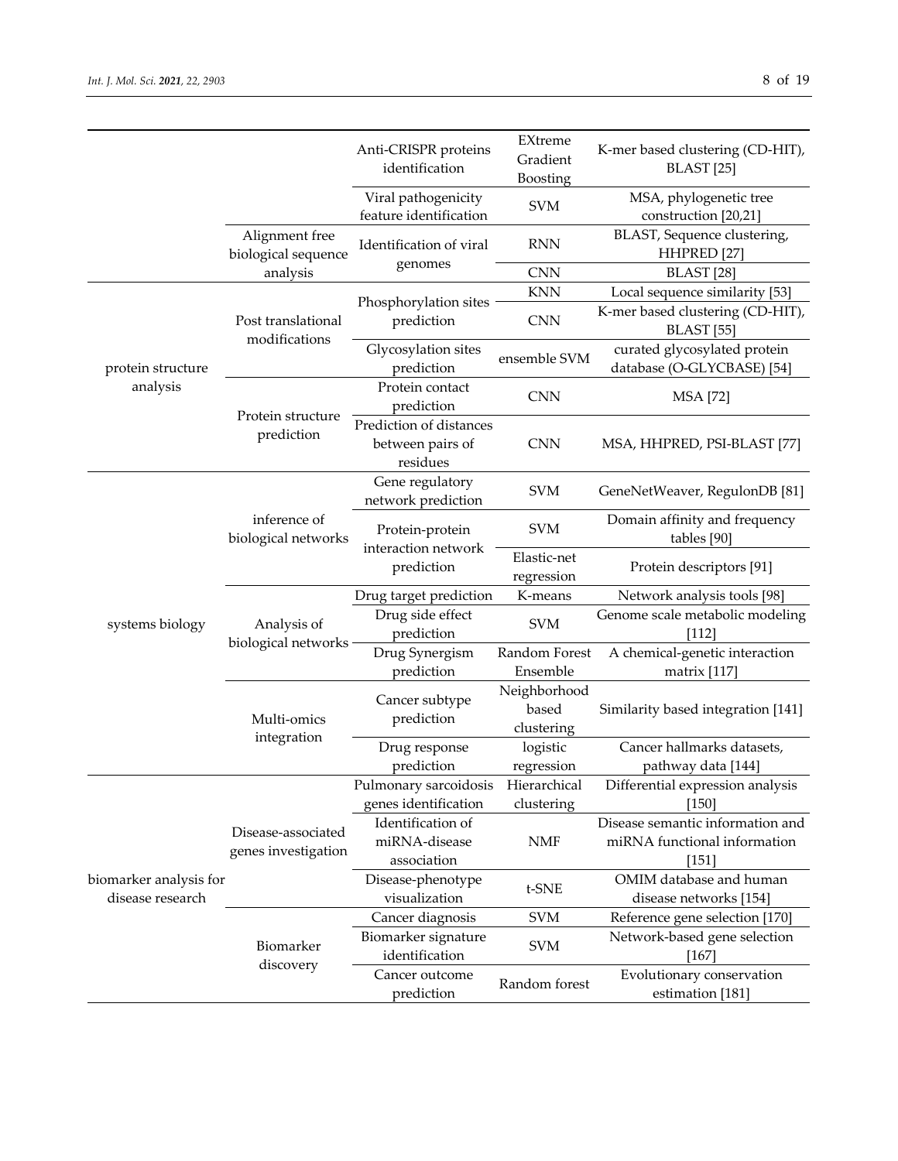biomarker analysis for disease research

Disease‐associated genes investigation

> Biomarker discovery

Identification of miRNA‐disease association

Disease‐phenotype

Biomarker signature

Cancer outcome

|                               |                                       | Anti-CRISPR proteins<br>identification                  |                                     | K-mer based clustering (CD-HIT),<br><b>BLAST</b> [25]      |
|-------------------------------|---------------------------------------|---------------------------------------------------------|-------------------------------------|------------------------------------------------------------|
|                               |                                       | Viral pathogenicity<br>feature identification           | <b>SVM</b>                          | MSA, phylogenetic tree<br>construction [20,21]             |
|                               | Alignment free<br>biological sequence | Identification of viral                                 | <b>RNN</b>                          | BLAST, Sequence clustering,<br>HHPRED [27]                 |
|                               | analysis                              | genomes                                                 | <b>CNN</b>                          | BLAST <sub>[28]</sub>                                      |
| protein structure<br>analysis | Post translational<br>modifications   | Phosphorylation sites<br>prediction                     | <b>KNN</b>                          | Local sequence similarity [53]                             |
|                               |                                       |                                                         | <b>CNN</b>                          | K-mer based clustering (CD-HIT),<br>BLAST <sub>[55]</sub>  |
|                               |                                       | Glycosylation sites<br>prediction                       | ensemble SVM                        | curated glycosylated protein<br>database (O-GLYCBASE) [54] |
|                               |                                       | Protein contact<br>prediction                           | <b>CNN</b>                          | <b>MSA</b> [72]                                            |
|                               | Protein structure<br>prediction       | Prediction of distances<br>between pairs of<br>residues | <b>CNN</b>                          | MSA, HHPRED, PSI-BLAST [77]                                |
| systems biology               | inference of<br>biological networks   | Gene regulatory<br>network prediction                   | <b>SVM</b>                          | GeneNetWeaver, RegulonDB [81]                              |
|                               |                                       | Protein-protein                                         | <b>SVM</b>                          | Domain affinity and frequency<br>tables [90]               |
|                               |                                       | interaction network<br>prediction                       | Elastic-net<br>regression           | Protein descriptors [91]                                   |
|                               | Analysis of<br>biological networks    | Drug target prediction                                  | K-means                             | Network analysis tools [98]                                |
|                               |                                       | Drug side effect<br>prediction                          | <b>SVM</b>                          | Genome scale metabolic modeling<br>[112]                   |
|                               |                                       | Drug Synergism<br>prediction                            | Random Forest<br>Ensemble           | A chemical-genetic interaction<br>matrix [117]             |
|                               | Multi-omics<br>integration            | Cancer subtype<br>prediction                            | Neighborhood<br>based<br>clustering | Similarity based integration [141]                         |
|                               |                                       | Drug response<br>prediction                             | logistic<br>regression              | Cancer hallmarks datasets,<br>pathway data [144]           |
|                               |                                       | Pulmonary sarcoidosis<br>genes identification           | Hierarchical<br>clustering          | Differential expression analysis<br>$[150]$                |

NMF

visualization <sup>t</sup>‐SNE OMIM database and human disease networks [154]

Cancer diagnosis SVM Reference gene selection [170]

marker signature SVM Network-based gene selection<br>identification [167]

ncer outcome Random forest Evolutionary conservation prediction Random forest Evolutionary conservation

Disease semantic information and miRNA functional information [151]

[167]

estimation [181]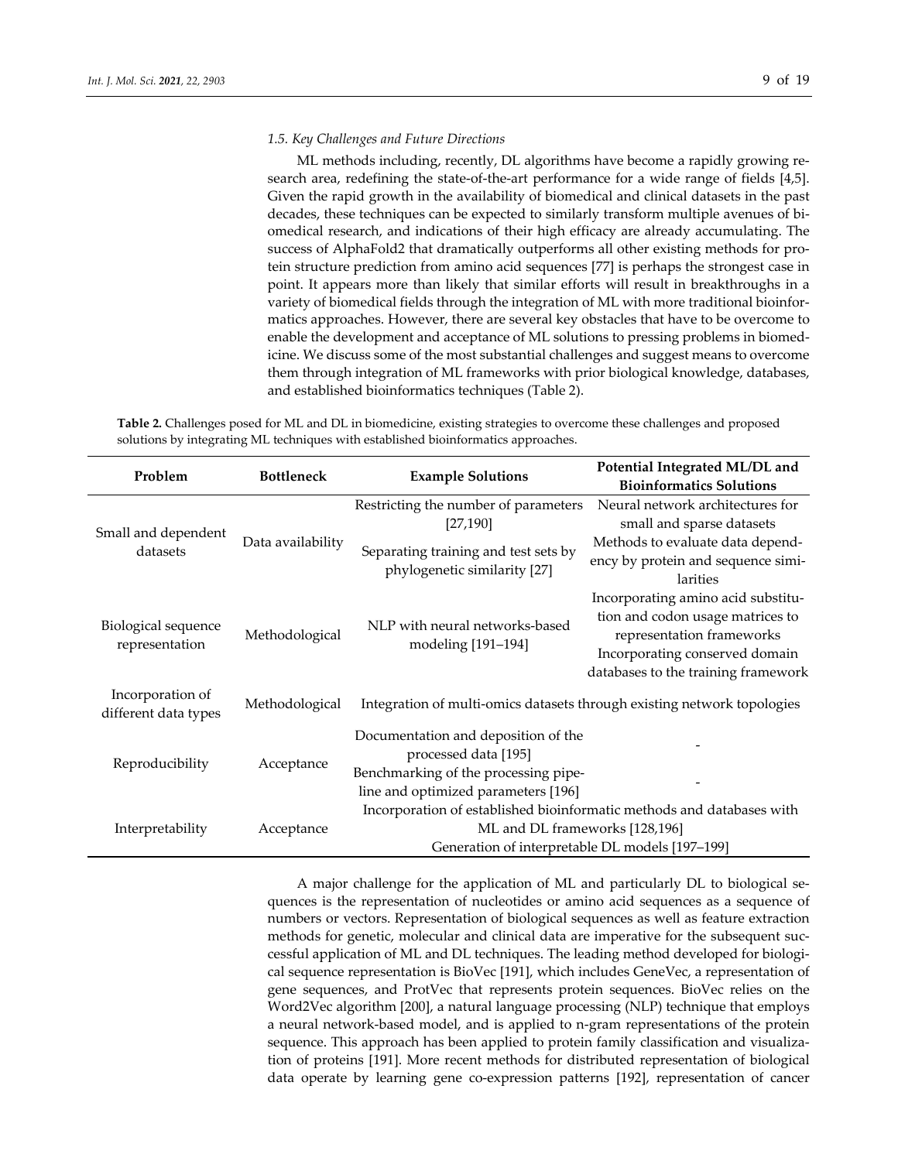#### *1.5. Key Challenges and Future Directions*

ML methods including, recently, DL algorithms have become a rapidly growing re‐ search area, redefining the state-of-the-art performance for a wide range of fields [4,5]. Given the rapid growth in the availability of biomedical and clinical datasets in the past decades, these techniques can be expected to similarly transform multiple avenues of bi‐ omedical research, and indications of their high efficacy are already accumulating. The success of AlphaFold2 that dramatically outperforms all other existing methods for pro‐ tein structure prediction from amino acid sequences [77] is perhaps the strongest case in point. It appears more than likely that similar efforts will result in breakthroughs in a variety of biomedical fields through the integration of ML with more traditional bioinfor‐ matics approaches. However, there are several key obstacles that have to be overcome to enable the development and acceptance of ML solutions to pressing problems in biomedicine. We discuss some of the most substantial challenges and suggest means to overcome them through integration of ML frameworks with prior biological knowledge, databases, and established bioinformatics techniques (Table 2).

**Table 2.** Challenges posed for ML and DL in biomedicine, existing strategies to overcome these challenges and proposed solutions by integrating ML techniques with established bioinformatics approaches.

| Problem                               | <b>Bottleneck</b> | <b>Example Solutions</b>                                                | Potential Integrated ML/DL and      |  |  |  |
|---------------------------------------|-------------------|-------------------------------------------------------------------------|-------------------------------------|--|--|--|
|                                       |                   |                                                                         | <b>Bioinformatics Solutions</b>     |  |  |  |
| Small and dependent<br>datasets       | Data availability | Restricting the number of parameters                                    | Neural network architectures for    |  |  |  |
|                                       |                   | [27, 190]                                                               | small and sparse datasets           |  |  |  |
|                                       |                   | Separating training and test sets by                                    | Methods to evaluate data depend-    |  |  |  |
|                                       |                   | phylogenetic similarity [27]                                            | ency by protein and sequence simi-  |  |  |  |
|                                       |                   |                                                                         | larities                            |  |  |  |
| Biological sequence<br>representation | Methodological    |                                                                         | Incorporating amino acid substitu-  |  |  |  |
|                                       |                   | NLP with neural networks-based                                          | tion and codon usage matrices to    |  |  |  |
|                                       |                   | modeling [191-194]                                                      | representation frameworks           |  |  |  |
|                                       |                   |                                                                         | Incorporating conserved domain      |  |  |  |
|                                       |                   |                                                                         | databases to the training framework |  |  |  |
| Incorporation of                      |                   |                                                                         |                                     |  |  |  |
| different data types                  | Methodological    | Integration of multi-omics datasets through existing network topologies |                                     |  |  |  |
|                                       | Acceptance        | Documentation and deposition of the                                     |                                     |  |  |  |
|                                       |                   | processed data [195]                                                    |                                     |  |  |  |
| Reproducibility                       |                   | Benchmarking of the processing pipe-                                    |                                     |  |  |  |
|                                       |                   | line and optimized parameters [196]                                     |                                     |  |  |  |
| Interpretability                      | Acceptance        | Incorporation of established bioinformatic methods and databases with   |                                     |  |  |  |
|                                       |                   | ML and DL frameworks [128,196]                                          |                                     |  |  |  |
|                                       |                   | Generation of interpretable DL models [197-199]                         |                                     |  |  |  |

A major challenge for the application of ML and particularly DL to biological se‐ quences is the representation of nucleotides or amino acid sequences as a sequence of numbers or vectors. Representation of biological sequences as well as feature extraction methods for genetic, molecular and clinical data are imperative for the subsequent successful application of ML and DL techniques. The leading method developed for biological sequence representation is BioVec [191], which includes GeneVec, a representation of gene sequences, and ProtVec that represents protein sequences. BioVec relies on the Word2Vec algorithm [200], a natural language processing (NLP) technique that employs a neural network‐based model, and is applied to n‐gram representations of the protein sequence. This approach has been applied to protein family classification and visualization of proteins [191]. More recent methods for distributed representation of biological data operate by learning gene co-expression patterns [192], representation of cancer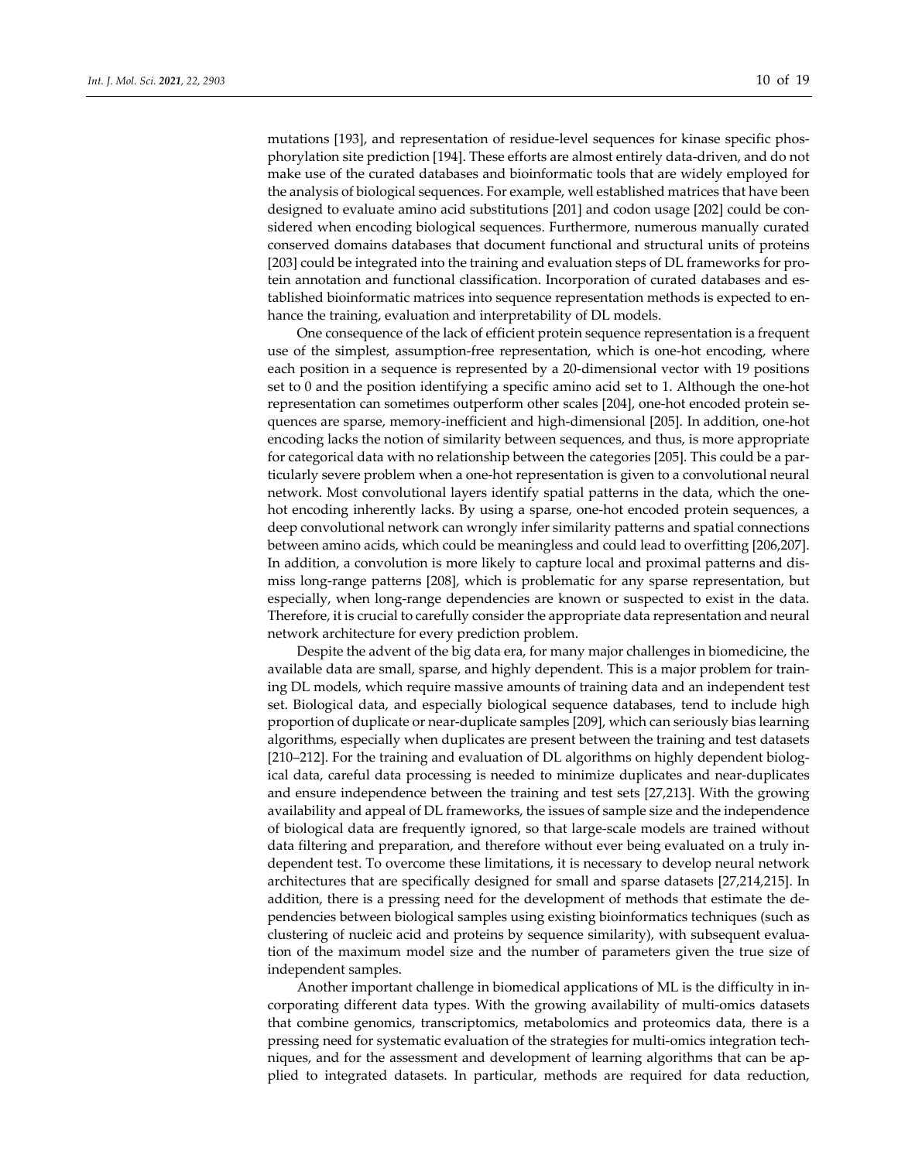mutations [193], and representation of residue‐level sequences for kinase specific phos‐ phorylation site prediction [194]. These efforts are almost entirely data‐driven, and do not make use of the curated databases and bioinformatic tools that are widely employed for the analysis of biological sequences. For example, well established matrices that have been designed to evaluate amino acid substitutions [201] and codon usage [202] could be considered when encoding biological sequences. Furthermore, numerous manually curated conserved domains databases that document functional and structural units of proteins [203] could be integrated into the training and evaluation steps of DL frameworks for protein annotation and functional classification. Incorporation of curated databases and es‐ tablished bioinformatic matrices into sequence representation methods is expected to en‐ hance the training, evaluation and interpretability of DL models.

One consequence of the lack of efficient protein sequence representation is a frequent use of the simplest, assumption-free representation, which is one-hot encoding, where each position in a sequence is represented by a 20-dimensional vector with 19 positions set to 0 and the position identifying a specific amino acid set to 1. Although the one‐hot representation can sometimes outperform other scales [204], one‐hot encoded protein se‐ quences are sparse, memory‐inefficient and high‐dimensional [205]. In addition, one‐hot encoding lacks the notion of similarity between sequences, and thus, is more appropriate for categorical data with no relationship between the categories [205]. This could be a par‐ ticularly severe problem when a one‐hot representation is given to a convolutional neural network. Most convolutional layers identify spatial patterns in the data, which the one‐ hot encoding inherently lacks. By using a sparse, one-hot encoded protein sequences, a deep convolutional network can wrongly infer similarity patterns and spatial connections between amino acids, which could be meaningless and could lead to overfitting [206,207]. In addition, a convolution is more likely to capture local and proximal patterns and dis‐ miss long-range patterns [208], which is problematic for any sparse representation, but especially, when long‐range dependencies are known or suspected to exist in the data. Therefore, it is crucial to carefully consider the appropriate data representation and neural network architecture for every prediction problem.

Despite the advent of the big data era, for many major challenges in biomedicine, the available data are small, sparse, and highly dependent. This is a major problem for train‐ ing DL models, which require massive amounts of training data and an independent test set. Biological data, and especially biological sequence databases, tend to include high proportion of duplicate or near‐duplicate samples [209], which can seriously bias learning algorithms, especially when duplicates are present between the training and test datasets [210–212]. For the training and evaluation of DL algorithms on highly dependent biological data, careful data processing is needed to minimize duplicates and near-duplicates and ensure independence between the training and test sets [27,213]. With the growing availability and appeal of DL frameworks, the issues of sample size and the independence of biological data are frequently ignored, so that large‐scale models are trained without data filtering and preparation, and therefore without ever being evaluated on a truly in‐ dependent test. To overcome these limitations, it is necessary to develop neural network architectures that are specifically designed for small and sparse datasets [27,214,215]. In addition, there is a pressing need for the development of methods that estimate the de‐ pendencies between biological samples using existing bioinformatics techniques (such as clustering of nucleic acid and proteins by sequence similarity), with subsequent evalua‐ tion of the maximum model size and the number of parameters given the true size of independent samples.

Another important challenge in biomedical applications of ML is the difficulty in in‐ corporating different data types. With the growing availability of multi-omics datasets that combine genomics, transcriptomics, metabolomics and proteomics data, there is a pressing need for systematic evaluation of the strategies for multi-omics integration techniques, and for the assessment and development of learning algorithms that can be ap‐ plied to integrated datasets. In particular, methods are required for data reduction,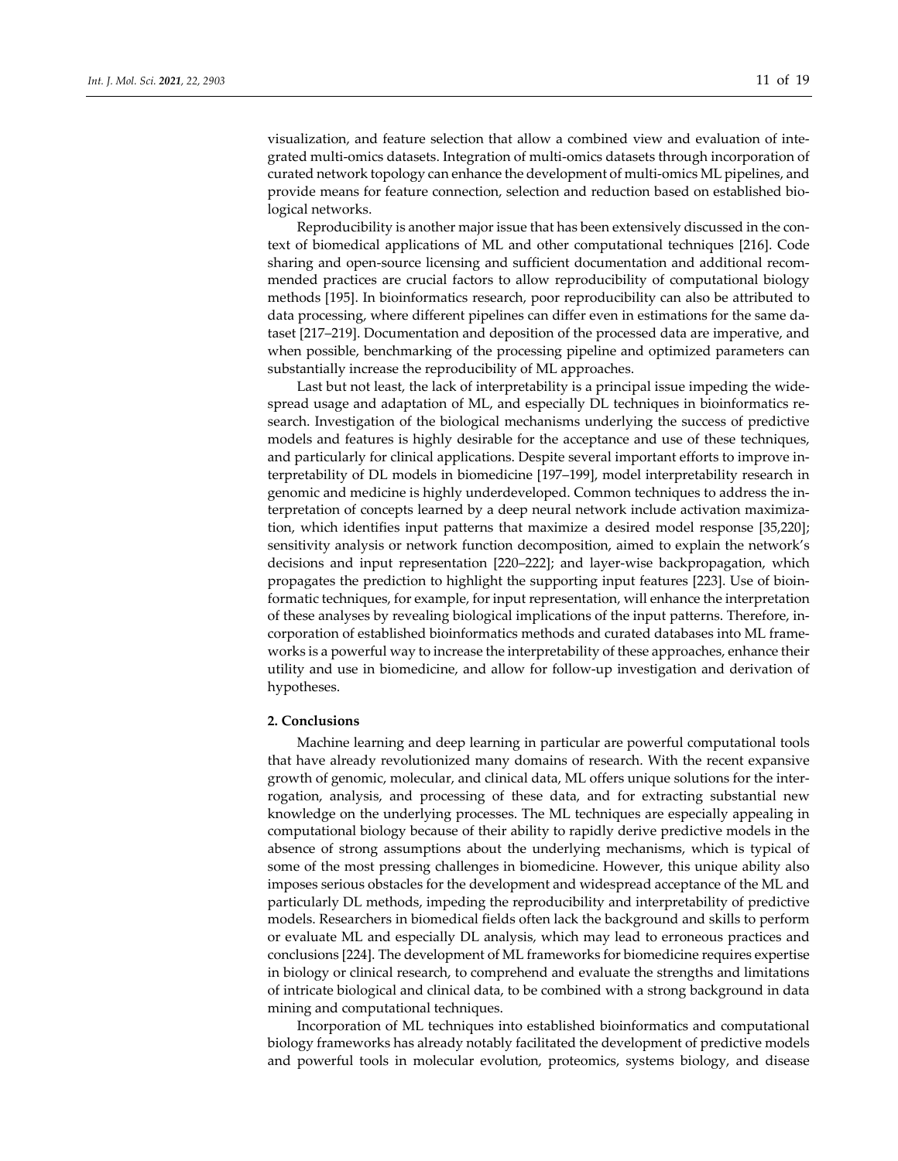visualization, and feature selection that allow a combined view and evaluation of inte‐ grated multi‐omics datasets. Integration of multi‐omics datasets through incorporation of curated network topology can enhance the development of multi‐omics ML pipelines, and provide means for feature connection, selection and reduction based on established biological networks.

Reproducibility is another major issue that has been extensively discussed in the context of biomedical applications of ML and other computational techniques [216]. Code sharing and open-source licensing and sufficient documentation and additional recommended practices are crucial factors to allow reproducibility of computational biology methods [195]. In bioinformatics research, poor reproducibility can also be attributed to data processing, where different pipelines can differ even in estimations for the same dataset [217–219]. Documentation and deposition of the processed data are imperative, and when possible, benchmarking of the processing pipeline and optimized parameters can substantially increase the reproducibility of ML approaches.

Last but not least, the lack of interpretability is a principal issue impeding the wide‐ spread usage and adaptation of ML, and especially DL techniques in bioinformatics re‐ search. Investigation of the biological mechanisms underlying the success of predictive models and features is highly desirable for the acceptance and use of these techniques, and particularly for clinical applications. Despite several important efforts to improve in‐ terpretability of DL models in biomedicine [197–199], model interpretability research in genomic and medicine is highly underdeveloped. Common techniques to address the in‐ terpretation of concepts learned by a deep neural network include activation maximiza‐ tion, which identifies input patterns that maximize a desired model response [35,220]; sensitivity analysis or network function decomposition, aimed to explain the network's decisions and input representation [220–222]; and layer‐wise backpropagation, which propagates the prediction to highlight the supporting input features [223]. Use of bioin‐ formatic techniques, for example, for input representation, will enhance the interpretation of these analyses by revealing biological implications of the input patterns. Therefore, in‐ corporation of established bioinformatics methods and curated databases into ML frame‐ works is a powerful way to increase the interpretability of these approaches, enhance their utility and use in biomedicine, and allow for follow‐up investigation and derivation of hypotheses.

## **2. Conclusions**

Machine learning and deep learning in particular are powerful computational tools that have already revolutionized many domains of research. With the recent expansive growth of genomic, molecular, and clinical data, ML offers unique solutions for the inter‐ rogation, analysis, and processing of these data, and for extracting substantial new knowledge on the underlying processes. The ML techniques are especially appealing in computational biology because of their ability to rapidly derive predictive models in the absence of strong assumptions about the underlying mechanisms, which is typical of some of the most pressing challenges in biomedicine. However, this unique ability also imposes serious obstacles for the development and widespread acceptance of the ML and particularly DL methods, impeding the reproducibility and interpretability of predictive models. Researchers in biomedical fields often lack the background and skills to perform or evaluate ML and especially DL analysis, which may lead to erroneous practices and conclusions [224]. The development of ML frameworks for biomedicine requires expertise in biology or clinical research, to comprehend and evaluate the strengths and limitations of intricate biological and clinical data, to be combined with a strong background in data mining and computational techniques.

Incorporation of ML techniques into established bioinformatics and computational biology frameworks has already notably facilitated the development of predictive models and powerful tools in molecular evolution, proteomics, systems biology, and disease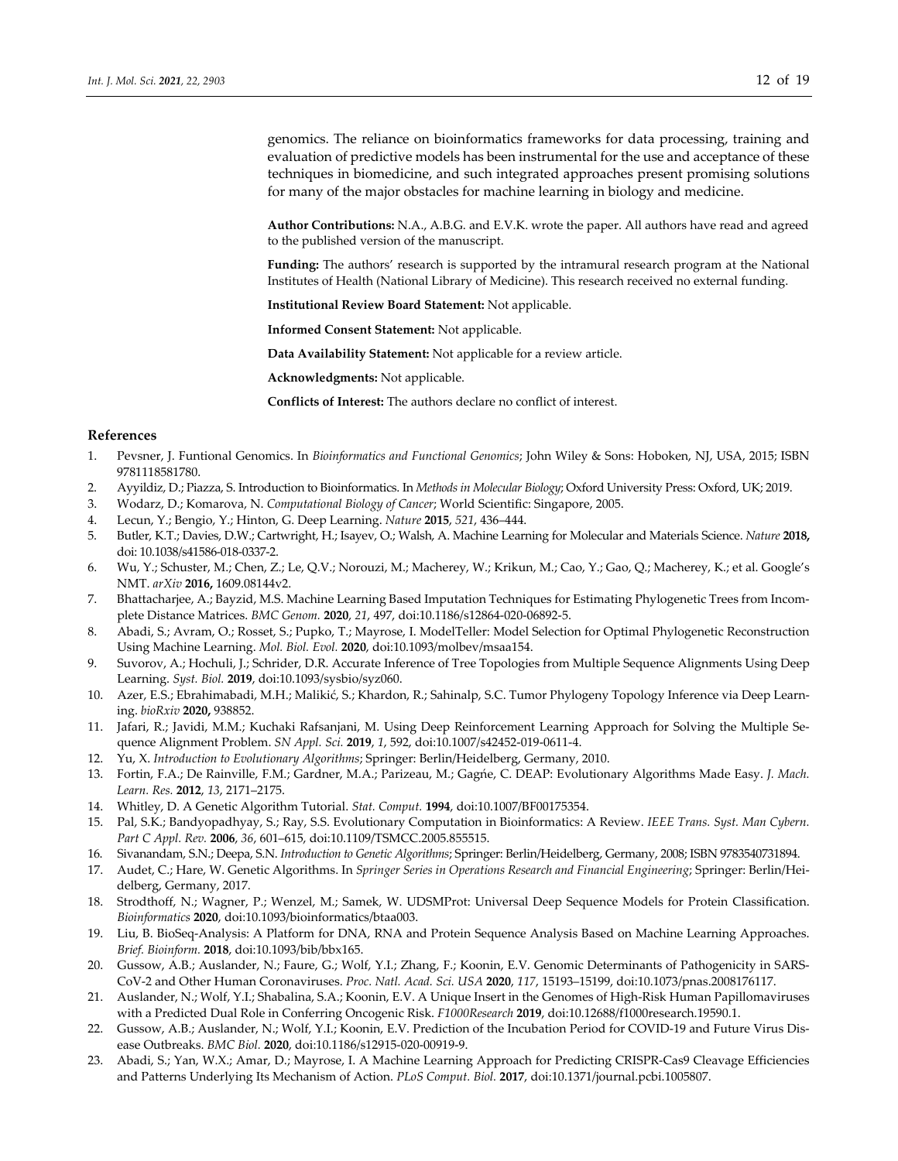genomics. The reliance on bioinformatics frameworks for data processing, training and evaluation of predictive models has been instrumental for the use and acceptance of these techniques in biomedicine, and such integrated approaches present promising solutions for many of the major obstacles for machine learning in biology and medicine.

**Author Contributions:** N.A., A.B.G. and E.V.K. wrote the paper. All authors have read and agreed to the published version of the manuscript.

**Funding:** The authors' research is supported by the intramural research program at the National Institutes of Health (National Library of Medicine). This research received no external funding.

**Institutional Review Board Statement:** Not applicable.

**Informed Consent Statement:** Not applicable.

**Data Availability Statement:** Not applicable for a review article.

**Acknowledgments:** Not applicable.

**Conflicts of Interest:** The authors declare no conflict of interest.

## **References**

- 1. Pevsner, J. Funtional Genomics. In *Bioinformatics and Functional Genomics*; John Wiley & Sons: Hoboken, NJ, USA, 2015; ISBN 9781118581780.
- 2. Ayyildiz, D.; Piazza, S. Introduction to Bioinformatics. In *Methods in Molecular Biology*; Oxford University Press: Oxford, UK; 2019.
- 3. Wodarz, D.; Komarova, N. *Computational Biology of Cancer*; World Scientific: Singapore, 2005.
- 4. Lecun, Y.; Bengio, Y.; Hinton, G. Deep Learning. *Nature* **2015**, *521*, 436–444.
- 5. Butler, K.T.; Davies, D.W.; Cartwright, H.; Isayev, O.; Walsh, A. Machine Learning for Molecular and Materials Science. *Nature* **2018,** doi: 10.1038/s41586‐018‐0337‐2.
- 6. Wu, Y.; Schuster, M.; Chen, Z.; Le, Q.V.; Norouzi, M.; Macherey, W.; Krikun, M.; Cao, Y.; Gao, Q.; Macherey, K.; et al. Google's NMT. *arXiv* **2016,** 1609.08144v2.
- 7. Bhattacharjee, A.; Bayzid, M.S. Machine Learning Based Imputation Techniques for Estimating Phylogenetic Trees from Incomplete Distance Matrices. *BMC Genom.* **2020**, *21*, 497, doi:10.1186/s12864‐020‐06892‐5.
- 8. Abadi, S.; Avram, O.; Rosset, S.; Pupko, T.; Mayrose, I. ModelTeller: Model Selection for Optimal Phylogenetic Reconstruction Using Machine Learning. *Mol. Biol. Evol.* **2020**, doi:10.1093/molbev/msaa154.
- 9. Suvorov, A.; Hochuli, J.; Schrider, D.R. Accurate Inference of Tree Topologies from Multiple Sequence Alignments Using Deep Learning. *Syst. Biol.* **2019**, doi:10.1093/sysbio/syz060.
- 10. Azer, E.S.; Ebrahimabadi, M.H.; Malikić, S.; Khardon, R.; Sahinalp, S.C. Tumor Phylogeny Topology Inference via Deep Learning. *bioRxiv* **2020,** 938852.
- 11. Jafari, R.; Javidi, M.M.; Kuchaki Rafsanjani, M. Using Deep Reinforcement Learning Approach for Solving the Multiple Sequence Alignment Problem. *SN Appl. Sci.* **2019**, *1*, 592, doi:10.1007/s42452‐019‐0611‐4.
- 12. Yu, X. *Introduction to Evolutionary Algorithms*; Springer: Berlin/Heidelberg, Germany, 2010.
- 13. Fortin, F.A.; De Rainville, F.M.; Gardner, M.A.; Parizeau, M.; Gagńe, C. DEAP: Evolutionary Algorithms Made Easy. *J. Mach. Learn. Res.* **2012**, *13*, 2171–2175.
- 14. Whitley, D. A Genetic Algorithm Tutorial. *Stat. Comput.* **1994**, doi:10.1007/BF00175354.
- 15. Pal, S.K.; Bandyopadhyay, S.; Ray, S.S. Evolutionary Computation in Bioinformatics: A Review. *IEEE Trans. Syst. Man Cybern. Part C Appl. Rev.* **2006**, *36*, 601–615, doi:10.1109/TSMCC.2005.855515.
- 16. Sivanandam, S.N.; Deepa, S.N. *Introduction to Genetic Algorithms*; Springer: Berlin/Heidelberg, Germany, 2008; ISBN 9783540731894.
- 17. Audet, C.; Hare, W. Genetic Algorithms. In *Springer Series in Operations Research and Financial Engineering*; Springer: Berlin/Hei‐ delberg, Germany, 2017.
- 18. Strodthoff, N.; Wagner, P.; Wenzel, M.; Samek, W. UDSMProt: Universal Deep Sequence Models for Protein Classification. *Bioinformatics* **2020**, doi:10.1093/bioinformatics/btaa003.
- 19. Liu, B. BioSeq-Analysis: A Platform for DNA, RNA and Protein Sequence Analysis Based on Machine Learning Approaches. *Brief. Bioinform.* **2018**, doi:10.1093/bib/bbx165.
- 20. Gussow, A.B.; Auslander, N.; Faure, G.; Wolf, Y.I.; Zhang, F.; Koonin, E.V. Genomic Determinants of Pathogenicity in SARS‐ CoV‐2 and Other Human Coronaviruses. *Proc. Natl. Acad. Sci. USA* **2020**, *117*, 15193–15199, doi:10.1073/pnas.2008176117.
- 21. Auslander, N.; Wolf, Y.I.; Shabalina, S.A.; Koonin, E.V. A Unique Insert in the Genomes of High‐Risk Human Papillomaviruses with a Predicted Dual Role in Conferring Oncogenic Risk. *F1000Research* **2019**, doi:10.12688/f1000research.19590.1.
- 22. Gussow, A.B.; Auslander, N.; Wolf, Y.I.; Koonin, E.V. Prediction of the Incubation Period for COVID-19 and Future Virus Disease Outbreaks. *BMC Biol.* **2020**, doi:10.1186/s12915‐020‐00919‐9.
- 23. Abadi, S.; Yan, W.X.; Amar, D.; Mayrose, I. A Machine Learning Approach for Predicting CRISPR‐Cas9 Cleavage Efficiencies and Patterns Underlying Its Mechanism of Action. *PLoS Comput. Biol.* **2017**, doi:10.1371/journal.pcbi.1005807.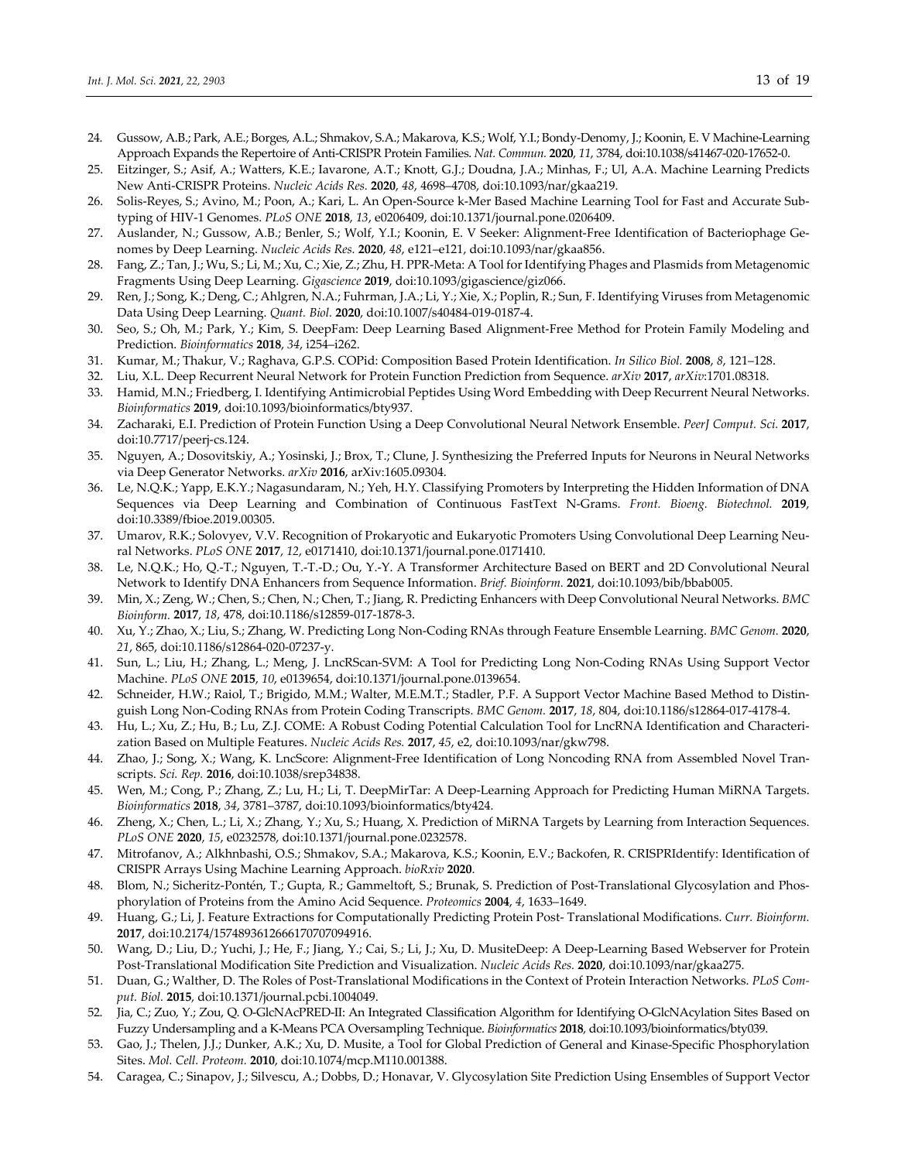- 24. Gussow, A.B.; Park, A.E.; Borges, A.L.; Shmakov, S.A.; Makarova, K.S.; Wolf, Y.I.; Bondy‐Denomy, J.; Koonin, E. V Machine‐Learning Approach Expands the Repertoire of Anti‐CRISPR Protein Families. *Nat. Commun.* **2020**, *11*, 3784, doi:10.1038/s41467‐020‐17652‐0.
- 25. Eitzinger, S.; Asif, A.; Watters, K.E.; Iavarone, A.T.; Knott, G.J.; Doudna, J.A.; Minhas, F.; Ul, A.A. Machine Learning Predicts New Anti‐CRISPR Proteins. *Nucleic Acids Res.* **2020**, *48*, 4698–4708, doi:10.1093/nar/gkaa219.
- 26. Solis‐Reyes, S.; Avino, M.; Poon, A.; Kari, L. An Open‐Source k‐Mer Based Machine Learning Tool for Fast and Accurate Sub‐ typing of HIV‐1 Genomes. *PLoS ONE* **2018**, *13*, e0206409, doi:10.1371/journal.pone.0206409.
- 27. Auslander, N.; Gussow, A.B.; Benler, S.; Wolf, Y.I.; Koonin, E. V Seeker: Alignment-Free Identification of Bacteriophage Genomes by Deep Learning. *Nucleic Acids Res.* **2020**, *48*, e121–e121, doi:10.1093/nar/gkaa856.
- 28. Fang, Z.; Tan, J.; Wu, S.; Li, M.; Xu, C.; Xie, Z.; Zhu, H. PPR‐Meta: A Tool forIdentifying Phages and Plasmids from Metagenomic Fragments Using Deep Learning. *Gigascience* **2019**, doi:10.1093/gigascience/giz066.
- 29. Ren, J.; Song, K.; Deng, C.; Ahlgren, N.A.; Fuhrman, J.A.; Li, Y.; Xie, X.; Poplin, R.; Sun, F. Identifying Viruses from Metagenomic Data Using Deep Learning. *Quant. Biol.* **2020**, doi:10.1007/s40484‐019‐0187‐4.
- 30. Seo, S.; Oh, M.; Park, Y.; Kim, S. DeepFam: Deep Learning Based Alignment‐Free Method for Protein Family Modeling and Prediction. *Bioinformatics* **2018**, *34*, i254–i262.
- 31. Kumar, M.; Thakur, V.; Raghava, G.P.S. COPid: Composition Based Protein Identification. *In Silico Biol.* **2008**, *8*, 121–128.
- 32. Liu, X.L. Deep Recurrent Neural Network for Protein Function Prediction from Sequence. *arXiv* **2017**, *arXiv*:1701.08318.
- 33. Hamid, M.N.; Friedberg, I. Identifying Antimicrobial Peptides Using Word Embedding with Deep Recurrent Neural Networks. *Bioinformatics* **2019**, doi:10.1093/bioinformatics/bty937.
- 34. Zacharaki, E.I. Prediction of Protein Function Using a Deep Convolutional Neural Network Ensemble. *PeerJ Comput. Sci.* **2017**, doi:10.7717/peerj‐cs.124.
- 35. Nguyen, A.; Dosovitskiy, A.; Yosinski, J.; Brox, T.; Clune, J. Synthesizing the Preferred Inputs for Neurons in Neural Networks via Deep Generator Networks. *arXiv* **2016**, arXiv:1605.09304.
- 36. Le, N.Q.K.; Yapp, E.K.Y.; Nagasundaram, N.; Yeh, H.Y. Classifying Promoters by Interpreting the Hidden Information of DNA Sequences via Deep Learning and Combination of Continuous FastText N‐Grams. *Front. Bioeng. Biotechnol.* **2019**, doi:10.3389/fbioe.2019.00305.
- 37. Umarov, R.K.; Solovyev, V.V. Recognition of Prokaryotic and Eukaryotic Promoters Using Convolutional Deep Learning Neural Networks. *PLoS ONE* **2017**, *12*, e0171410, doi:10.1371/journal.pone.0171410.
- 38. Le, N.Q.K.; Ho, Q.‐T.; Nguyen, T.‐T.‐D.; Ou, Y.‐Y. A Transformer Architecture Based on BERT and 2D Convolutional Neural Network to Identify DNA Enhancers from Sequence Information. *Brief. Bioinform.* **2021**, doi:10.1093/bib/bbab005.
- 39. Min, X.; Zeng, W.; Chen, S.; Chen, N.; Chen, T.; Jiang, R. Predicting Enhancers with Deep Convolutional Neural Networks. *BMC Bioinform.* **2017**, *18*, 478, doi:10.1186/s12859‐017‐1878‐3.
- 40. Xu, Y.; Zhao, X.; Liu, S.; Zhang, W. Predicting Long Non‐Coding RNAs through Feature Ensemble Learning. *BMC Genom.* **2020**, *21*, 865, doi:10.1186/s12864‐020‐07237‐y.
- 41. Sun, L.; Liu, H.; Zhang, L.; Meng, J. LncRScan-SVM: A Tool for Predicting Long Non-Coding RNAs Using Support Vector Machine. *PLoS ONE* **2015**, *10*, e0139654, doi:10.1371/journal.pone.0139654.
- 42. Schneider, H.W.; Raiol, T.; Brigido, M.M.; Walter, M.E.M.T.; Stadler, P.F. A Support Vector Machine Based Method to Distin‐ guish Long Non‐Coding RNAs from Protein Coding Transcripts. *BMC Genom.* **2017**, *18*, 804, doi:10.1186/s12864‐017‐4178‐4.
- 43. Hu, L.; Xu, Z.; Hu, B.; Lu, Z.J. COME: A Robust Coding Potential Calculation Tool for LncRNA Identification and Characteri‐ zation Based on Multiple Features. *Nucleic Acids Res.* **2017**, *45*, e2, doi:10.1093/nar/gkw798.
- 44. Zhao, J.; Song, X.; Wang, K. LncScore: Alignment-Free Identification of Long Noncoding RNA from Assembled Novel Transcripts. *Sci. Rep.* **2016**, doi:10.1038/srep34838.
- 45. Wen, M.; Cong, P.; Zhang, Z.; Lu, H.; Li, T. DeepMirTar: A Deep-Learning Approach for Predicting Human MiRNA Targets. *Bioinformatics* **2018**, *34*, 3781–3787, doi:10.1093/bioinformatics/bty424.
- 46. Zheng, X.; Chen, L.; Li, X.; Zhang, Y.; Xu, S.; Huang, X. Prediction of MiRNA Targets by Learning from Interaction Sequences. *PLoS ONE* **2020**, *15*, e0232578, doi:10.1371/journal.pone.0232578.
- 47. Mitrofanov, A.; Alkhnbashi, O.S.; Shmakov, S.A.; Makarova, K.S.; Koonin, E.V.; Backofen, R. CRISPRIdentify: Identification of CRISPR Arrays Using Machine Learning Approach. *bioRxiv* **2020**.
- 48. Blom, N.; Sicheritz-Pontén, T.; Gupta, R.; Gammeltoft, S.; Brunak, S. Prediction of Post-Translational Glycosylation and Phosphorylation of Proteins from the Amino Acid Sequence. *Proteomics* **2004**, *4*, 1633–1649.
- 49. Huang, G.; Li, J. Feature Extractions for Computationally Predicting Protein Post‐ Translational Modifications. *Curr. Bioinform.* **2017**, doi:10.2174/1574893612666170707094916.
- 50. Wang, D.; Liu, D.; Yuchi, J.; He, F.; Jiang, Y.; Cai, S.; Li, J.; Xu, D. MusiteDeep: A Deep‐Learning Based Webserver for Protein Post‐Translational Modification Site Prediction and Visualization. *Nucleic Acids Res.* **2020**, doi:10.1093/nar/gkaa275.
- 51. Duan, G.; Walther, D. The Roles of Post‐Translational Modifications in the Context of Protein Interaction Networks. *PLoS Com‐ put. Biol.* **2015**, doi:10.1371/journal.pcbi.1004049.
- 52. Jia, C.; Zuo, Y.; Zou, Q. O‐GlcNAcPRED‐II: An Integrated Classification Algorithm for Identifying O‐GlcNAcylation Sites Based on Fuzzy Undersampling and a K‐Means PCA Oversampling Technique. *Bioinformatics* **2018**, doi:10.1093/bioinformatics/bty039.
- 53. Gao, J.; Thelen, J.J.; Dunker, A.K.; Xu, D. Musite, a Tool for Global Prediction of General and Kinase‐Specific Phosphorylation Sites. *Mol. Cell. Proteom.* **2010**, doi:10.1074/mcp.M110.001388.
- 54. Caragea, C.; Sinapov, J.; Silvescu, A.; Dobbs, D.; Honavar, V. Glycosylation Site Prediction Using Ensembles of Support Vector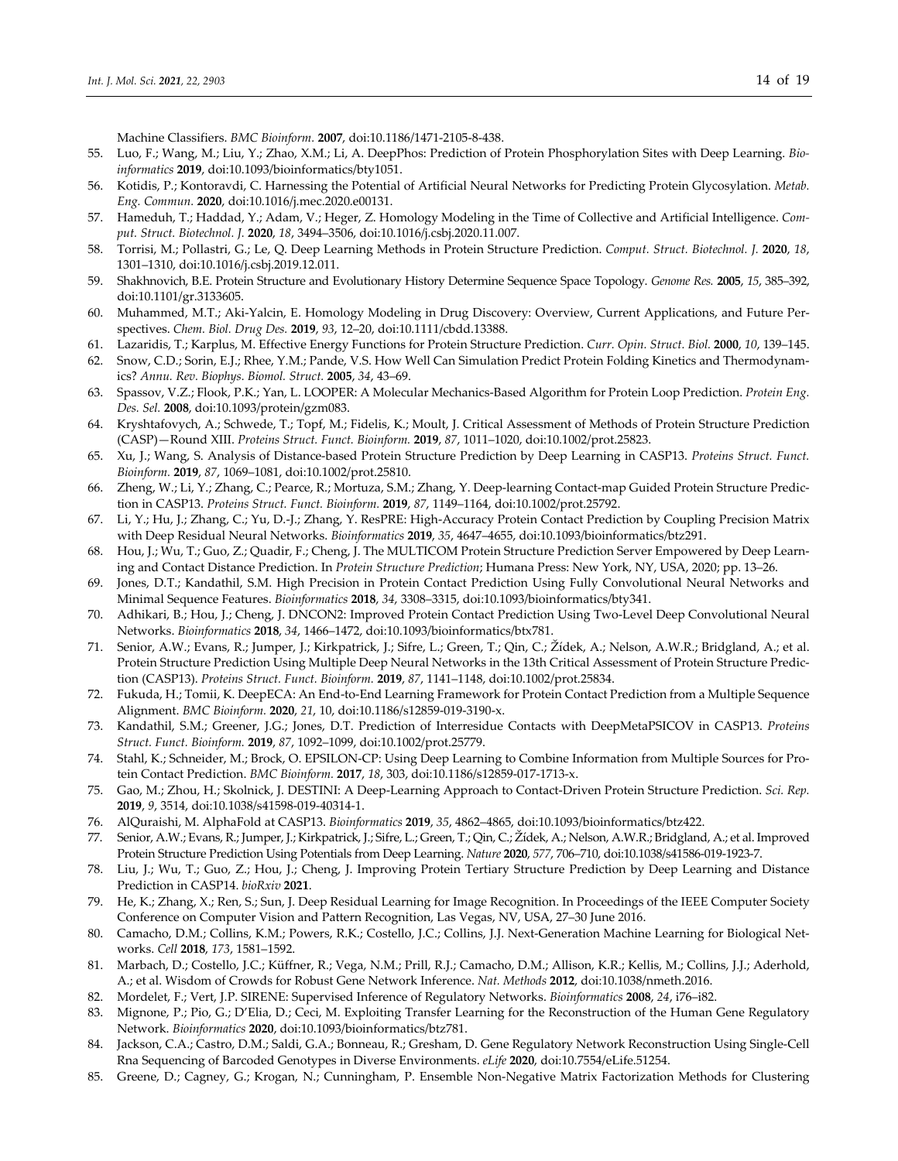Machine Classifiers. *BMC Bioinform.* **2007**, doi:10.1186/1471‐2105‐8‐438.

- 55. Luo, F.; Wang, M.; Liu, Y.; Zhao, X.M.; Li, A. DeepPhos: Prediction of Protein Phosphorylation Sites with Deep Learning. *Bio‐ informatics* **2019**, doi:10.1093/bioinformatics/bty1051.
- 56. Kotidis, P.; Kontoravdi, C. Harnessing the Potential of Artificial Neural Networks for Predicting Protein Glycosylation. *Metab. Eng. Commun.* **2020**, doi:10.1016/j.mec.2020.e00131.
- 57. Hameduh, T.; Haddad, Y.; Adam, V.; Heger, Z. Homology Modeling in the Time of Collective and Artificial Intelligence. *Com‐ put. Struct. Biotechnol. J.* **2020**, *18*, 3494–3506, doi:10.1016/j.csbj.2020.11.007.
- 58. Torrisi, M.; Pollastri, G.; Le, Q. Deep Learning Methods in Protein Structure Prediction. *Comput. Struct. Biotechnol. J.* **2020**, *18*, 1301–1310, doi:10.1016/j.csbj.2019.12.011.
- 59. Shakhnovich, B.E. Protein Structure and Evolutionary History Determine Sequence Space Topology. *Genome Res.* **2005**, *15*, 385–392, doi:10.1101/gr.3133605.
- 60. Muhammed, M.T.; Aki‐Yalcin, E. Homology Modeling in Drug Discovery: Overview, Current Applications, and Future Per‐ spectives. *Chem. Biol. Drug Des.* **2019**, *93*, 12–20, doi:10.1111/cbdd.13388.
- 61. Lazaridis, T.; Karplus, M. Effective Energy Functions for Protein Structure Prediction. *Curr. Opin. Struct. Biol.* **2000**, *10*, 139–145.
- 62. Snow, C.D.; Sorin, E.J.; Rhee, Y.M.; Pande, V.S. How Well Can Simulation Predict Protein Folding Kinetics and Thermodynam‐ ics? *Annu. Rev. Biophys. Biomol. Struct.* **2005**, *34*, 43–69.
- 63. Spassov, V.Z.; Flook, P.K.; Yan, L. LOOPER: A Molecular Mechanics‐Based Algorithm for Protein Loop Prediction. *Protein Eng. Des. Sel.* **2008**, doi:10.1093/protein/gzm083.
- 64. Kryshtafovych, A.; Schwede, T.; Topf, M.; Fidelis, K.; Moult, J. Critical Assessment of Methods of Protein Structure Prediction (CASP)—Round XIII. *Proteins Struct. Funct. Bioinform.* **2019**, *87*, 1011–1020, doi:10.1002/prot.25823.
- 65. Xu, J.; Wang, S. Analysis of Distance‐based Protein Structure Prediction by Deep Learning in CASP13. *Proteins Struct. Funct. Bioinform.* **2019**, *87*, 1069–1081, doi:10.1002/prot.25810.
- 66. Zheng, W.; Li, Y.; Zhang, C.; Pearce, R.; Mortuza, S.M.; Zhang, Y. Deep-learning Contact-map Guided Protein Structure Prediction in CASP13. *Proteins Struct. Funct. Bioinform.* **2019**, *87*, 1149–1164, doi:10.1002/prot.25792.
- 67. Li, Y.; Hu, J.; Zhang, C.; Yu, D.‐J.; Zhang, Y. ResPRE: High‐Accuracy Protein Contact Prediction by Coupling Precision Matrix with Deep Residual Neural Networks. *Bioinformatics* **2019**, *35*, 4647–4655, doi:10.1093/bioinformatics/btz291.
- 68. Hou, J.; Wu, T.; Guo, Z.; Quadir, F.; Cheng, J. The MULTICOM Protein Structure Prediction Server Empowered by Deep Learn‐ ing and Contact Distance Prediction. In *Protein Structure Prediction*; Humana Press: New York, NY, USA, 2020; pp. 13–26.
- 69. Jones, D.T.; Kandathil, S.M. High Precision in Protein Contact Prediction Using Fully Convolutional Neural Networks and Minimal Sequence Features. *Bioinformatics* **2018**, *34*, 3308–3315, doi:10.1093/bioinformatics/bty341.
- 70. Adhikari, B.; Hou, J.; Cheng, J. DNCON2: Improved Protein Contact Prediction Using Two‐Level Deep Convolutional Neural Networks. *Bioinformatics* **2018**, *34*, 1466–1472, doi:10.1093/bioinformatics/btx781.
- 71. Senior, A.W.; Evans, R.; Jumper, J.; Kirkpatrick, J.; Sifre, L.; Green, T.; Qin, C.; Žídek, A.; Nelson, A.W.R.; Bridgland, A.; et al. Protein Structure Prediction Using Multiple Deep Neural Networks in the 13th Critical Assessment of Protein Structure Predic‐ tion (CASP13). *Proteins Struct. Funct. Bioinform.* **2019**, *87*, 1141–1148, doi:10.1002/prot.25834.
- 72. Fukuda, H.; Tomii, K. DeepECA: An End‐to‐End Learning Framework for Protein Contact Prediction from a Multiple Sequence Alignment. *BMC Bioinform.* **2020**, *21*, 10, doi:10.1186/s12859‐019‐3190‐x.
- 73. Kandathil, S.M.; Greener, J.G.; Jones, D.T. Prediction of Interresidue Contacts with DeepMetaPSICOV in CASP13. *Proteins Struct. Funct. Bioinform.* **2019**, *87*, 1092–1099, doi:10.1002/prot.25779.
- 74. Stahl, K.; Schneider, M.; Brock, O. EPSILON‐CP: Using Deep Learning to Combine Information from Multiple Sources for Pro‐ tein Contact Prediction. *BMC Bioinform.* **2017**, *18*, 303, doi:10.1186/s12859‐017‐1713‐x.
- 75. Gao, M.; Zhou, H.; Skolnick, J. DESTINI: A Deep‐Learning Approach to Contact‐Driven Protein Structure Prediction. *Sci. Rep.* **2019**, *9*, 3514, doi:10.1038/s41598‐019‐40314‐1.
- 76. AlQuraishi, M. AlphaFold at CASP13. *Bioinformatics* **2019**, *35*, 4862–4865, doi:10.1093/bioinformatics/btz422.
- 77. Senior, A.W.; Evans, R.; Jumper, J.; Kirkpatrick, J.; Sifre, L.; Green, T.; Qin, C.; Žídek, A.; Nelson, A.W.R.; Bridgland, A.; et al. Improved Protein Structure Prediction Using Potentials from Deep Learning. *Nature* **2020**, *577*, 706–710, doi:10.1038/s41586‐019‐1923‐7.
- 78. Liu, J.; Wu, T.; Guo, Z.; Hou, J.; Cheng, J. Improving Protein Tertiary Structure Prediction by Deep Learning and Distance Prediction in CASP14. *bioRxiv* **2021**.
- 79. He, K.; Zhang, X.; Ren, S.; Sun, J. Deep Residual Learning for Image Recognition. In Proceedings of the IEEE Computer Society Conference on Computer Vision and Pattern Recognition, Las Vegas, NV, USA, 27–30 June 2016.
- 80. Camacho, D.M.; Collins, K.M.; Powers, R.K.; Costello, J.C.; Collins, J.J. Next-Generation Machine Learning for Biological Networks. *Cell* **2018**, *173*, 1581–1592.
- 81. Marbach, D.; Costello, J.C.; Küffner, R.; Vega, N.M.; Prill, R.J.; Camacho, D.M.; Allison, K.R.; Kellis, M.; Collins, J.J.; Aderhold, A.; et al. Wisdom of Crowds for Robust Gene Network Inference. *Nat. Methods* **2012**, doi:10.1038/nmeth.2016.
- 82. Mordelet, F.; Vert, J.P. SIRENE: Supervised Inference of Regulatory Networks. *Bioinformatics* **2008**, *24*, i76–i82.
- 83. Mignone, P.; Pio, G.; D'Elia, D.; Ceci, M. Exploiting Transfer Learning for the Reconstruction of the Human Gene Regulatory Network. *Bioinformatics* **2020**, doi:10.1093/bioinformatics/btz781.
- 84. Jackson, C.A.; Castro, D.M.; Saldi, G.A.; Bonneau, R.; Gresham, D. Gene Regulatory Network Reconstruction Using Single‐Cell Rna Sequencing of Barcoded Genotypes in Diverse Environments. *eLife* **2020**, doi:10.7554/eLife.51254.
- 85. Greene, D.; Cagney, G.; Krogan, N.; Cunningham, P. Ensemble Non-Negative Matrix Factorization Methods for Clustering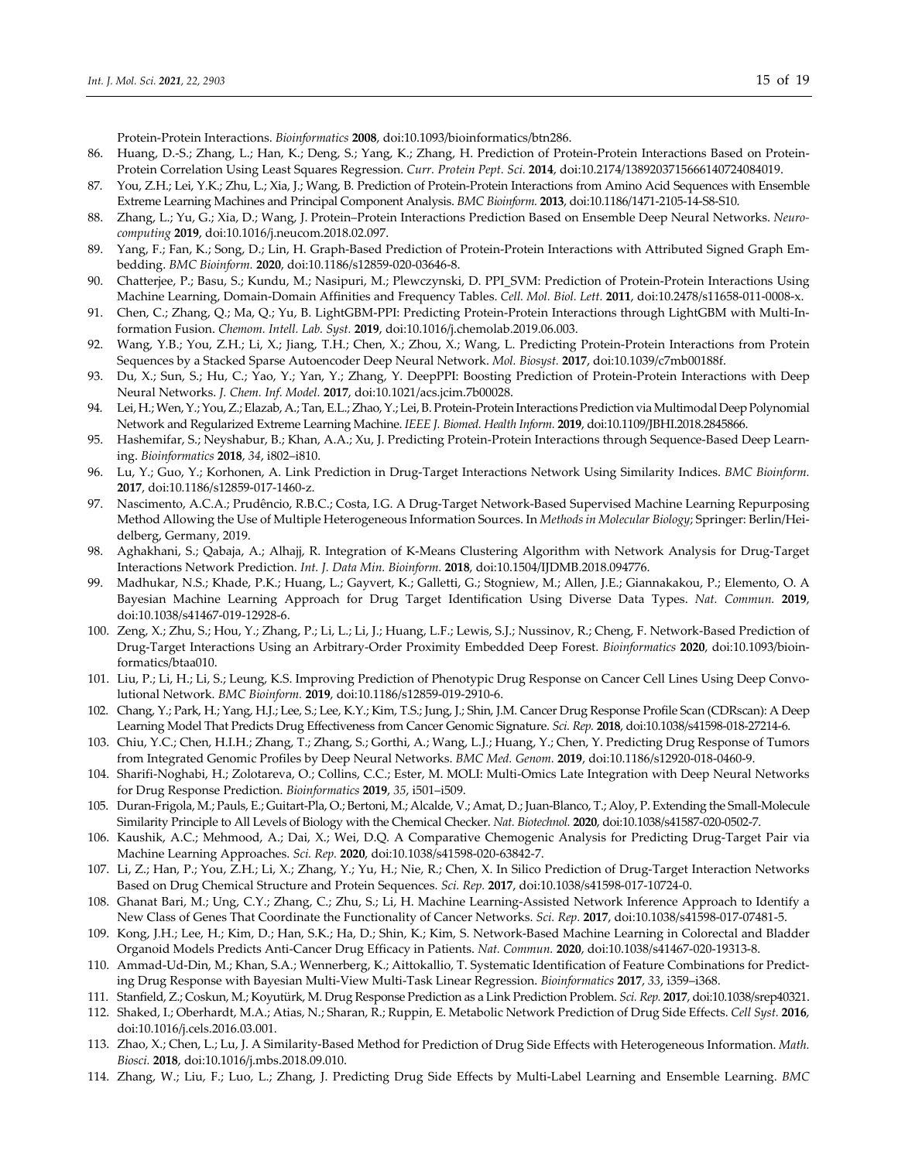Protein‐Protein Interactions. *Bioinformatics* **2008**, doi:10.1093/bioinformatics/btn286.

- 86. Huang, D.-S.; Zhang, L.; Han, K.; Deng, S.; Yang, K.; Zhang, H. Prediction of Protein-Protein Interactions Based on Protein-Protein Correlation Using Least Squares Regression. *Curr. Protein Pept. Sci.* **2014**, doi:10.2174/1389203715666140724084019.
- 87. You, Z.H.; Lei, Y.K.; Zhu, L.; Xia, J.; Wang, B. Prediction of Protein-Protein Interactions from Amino Acid Sequences with Ensemble Extreme Learning Machines and Principal Component Analysis. *BMC Bioinform.* **2013**, doi:10.1186/1471‐2105‐14‐S8‐S10.
- 88. Zhang, L.; Yu, G.; Xia, D.; Wang, J. Protein–Protein Interactions Prediction Based on Ensemble Deep Neural Networks. *Neuro‐ computing* **2019**, doi:10.1016/j.neucom.2018.02.097.
- 89. Yang, F.; Fan, K.; Song, D.; Lin, H. Graph-Based Prediction of Protein-Protein Interactions with Attributed Signed Graph Embedding. *BMC Bioinform.* **2020**, doi:10.1186/s12859‐020‐03646‐8.
- 90. Chatterjee, P.; Basu, S.; Kundu, M.; Nasipuri, M.; Plewczynski, D. PPI\_SVM: Prediction of Protein-Protein Interactions Using Machine Learning, Domain‐Domain Affinities and Frequency Tables. *Cell. Mol. Biol. Lett.* **2011**, doi:10.2478/s11658‐011‐0008‐x.
- 91. Chen, C.; Zhang, Q.; Ma, Q.; Yu, B. LightGBM-PPI: Predicting Protein-Protein Interactions through LightGBM with Multi-Information Fusion. *Chemom. Intell. Lab. Syst.* **2019**, doi:10.1016/j.chemolab.2019.06.003.
- 92. Wang, Y.B.; You, Z.H.; Li, X.; Jiang, T.H.; Chen, X.; Zhou, X.; Wang, L. Predicting Protein-Protein Interactions from Protein Sequences by a Stacked Sparse Autoencoder Deep Neural Network. *Mol. Biosyst.* **2017**, doi:10.1039/c7mb00188f.
- 93. Du, X.; Sun, S.; Hu, C.; Yao, Y.; Yan, Y.; Zhang, Y. DeepPPI: Boosting Prediction of Protein-Protein Interactions with Deep Neural Networks. *J. Chem. Inf. Model.* **2017**, doi:10.1021/acs.jcim.7b00028.
- 94. Lei, H.; Wen, Y.; You, Z.; Elazab, A.; Tan, E.L.; Zhao, Y.; Lei, B. Protein-Protein Interactions Prediction via Multimodal Deep Polynomial Network and Regularized Extreme Learning Machine. *IEEE J. Biomed. Health Inform.* **2019**, doi:10.1109/JBHI.2018.2845866.
- 95. Hashemifar, S.; Neyshabur, B.; Khan, A.A.; Xu, J. Predicting Protein-Protein Interactions through Sequence-Based Deep Learning. *Bioinformatics* **2018**, *34*, i802–i810.
- 96. Lu, Y.; Guo, Y.; Korhonen, A. Link Prediction in Drug-Target Interactions Network Using Similarity Indices. *BMC Bioinform.* **2017**, doi:10.1186/s12859‐017‐1460‐z.
- 97. Nascimento, A.C.A.; Prudêncio, R.B.C.; Costa, I.G. A Drug‐Target Network‐Based Supervised Machine Learning Repurposing Method Allowing the Use of Multiple Heterogeneous Information Sources. In *Methods in Molecular Biology*; Springer: Berlin/Hei‐ delberg, Germany, 2019.
- 98. Aghakhani, S.; Qabaja, A.; Alhajj, R. Integration of K‐Means Clustering Algorithm with Network Analysis for Drug‐Target Interactions Network Prediction. *Int. J. Data Min. Bioinform.* **2018**, doi:10.1504/IJDMB.2018.094776.
- 99. Madhukar, N.S.; Khade, P.K.; Huang, L.; Gayvert, K.; Galletti, G.; Stogniew, M.; Allen, J.E.; Giannakakou, P.; Elemento, O. A Bayesian Machine Learning Approach for Drug Target Identification Using Diverse Data Types. *Nat. Commun.* **2019**, doi:10.1038/s41467‐019‐12928‐6.
- 100. Zeng, X.; Zhu, S.; Hou, Y.; Zhang, P.; Li, L.; Li, J.; Huang, L.F.; Lewis, S.J.; Nussinov, R.; Cheng, F. Network‐Based Prediction of Drug‐Target Interactions Using an Arbitrary‐Order Proximity Embedded Deep Forest. *Bioinformatics* **2020**, doi:10.1093/bioin‐ formatics/btaa010.
- 101. Liu, P.; Li, H.; Li, S.; Leung, K.S. Improving Prediction of Phenotypic Drug Response on Cancer Cell Lines Using Deep Convo‐ lutional Network. *BMC Bioinform.* **2019**, doi:10.1186/s12859‐019‐2910‐6.
- 102. Chang, Y.; Park, H.; Yang, H.J.; Lee, S.; Lee, K.Y.; Kim, T.S.; Jung, J.; Shin, J.M. Cancer Drug Response Profile Scan (CDRscan): A Deep Learning Model That Predicts Drug Effectiveness from Cancer Genomic Signature. *Sci. Rep.* **2018**, doi:10.1038/s41598‐018‐27214‐6.
- 103. Chiu, Y.C.; Chen, H.I.H.; Zhang, T.; Zhang, S.; Gorthi, A.; Wang, L.J.; Huang, Y.; Chen, Y. Predicting Drug Response of Tumors from Integrated Genomic Profiles by Deep Neural Networks. *BMC Med. Genom.* **2019**, doi:10.1186/s12920‐018‐0460‐9.
- 104. Sharifi‐Noghabi, H.; Zolotareva, O.; Collins, C.C.; Ester, M. MOLI: Multi‐Omics Late Integration with Deep Neural Networks for Drug Response Prediction. *Bioinformatics* **2019**, *35*, i501–i509.
- 105. Duran‐Frigola, M.; Pauls, E.; Guitart‐Pla, O.; Bertoni, M.; Alcalde, V.; Amat, D.; Juan‐Blanco, T.; Aloy, P. Extending the Small‐Molecule Similarity Principle to All Levels of Biology with the Chemical Checker. *Nat. Biotechnol.* **2020**, doi:10.1038/s41587‐020‐0502‐7.
- 106. Kaushik, A.C.; Mehmood, A.; Dai, X.; Wei, D.Q. A Comparative Chemogenic Analysis for Predicting Drug‐Target Pair via Machine Learning Approaches. *Sci. Rep.* **2020**, doi:10.1038/s41598‐020‐63842‐7.
- 107. Li, Z.; Han, P.; You, Z.H.; Li, X.; Zhang, Y.; Yu, H.; Nie, R.; Chen, X. In Silico Prediction of Drug‐Target Interaction Networks Based on Drug Chemical Structure and Protein Sequences. *Sci. Rep.* **2017**, doi:10.1038/s41598‐017‐10724‐0.
- 108. Ghanat Bari, M.; Ung, C.Y.; Zhang, C.; Zhu, S.; Li, H. Machine Learning‐Assisted Network Inference Approach to Identify a New Class of Genes That Coordinate the Functionality of Cancer Networks. *Sci. Rep.* **2017**, doi:10.1038/s41598‐017‐07481‐5.
- 109. Kong, J.H.; Lee, H.; Kim, D.; Han, S.K.; Ha, D.; Shin, K.; Kim, S. Network‐Based Machine Learning in Colorectal and Bladder Organoid Models Predicts Anti‐Cancer Drug Efficacy in Patients. *Nat. Commun.* **2020**, doi:10.1038/s41467‐020‐19313‐8.
- 110. Ammad-Ud-Din, M.; Khan, S.A.; Wennerberg, K.; Aittokallio, T. Systematic Identification of Feature Combinations for Predicting Drug Response with Bayesian Multi‐View Multi‐Task Linear Regression. *Bioinformatics* **2017**, *33*, i359–i368.
- 111. Stanfield, Z.; Coskun, M.; Koyutürk, M. Drug Response Prediction as a Link Prediction Problem. *Sci. Rep.* **2017**, doi:10.1038/srep40321.
- 112. Shaked, I.; Oberhardt, M.A.; Atias, N.; Sharan, R.; Ruppin, E. Metabolic Network Prediction of Drug Side Effects. *Cell Syst.* **2016**, doi:10.1016/j.cels.2016.03.001.
- 113. Zhao, X.; Chen, L.; Lu, J. A Similarity‐Based Method for Prediction of Drug Side Effects with Heterogeneous Information. *Math. Biosci.* **2018**, doi:10.1016/j.mbs.2018.09.010.
- 114. Zhang, W.; Liu, F.; Luo, L.; Zhang, J. Predicting Drug Side Effects by Multi‐Label Learning and Ensemble Learning. *BMC*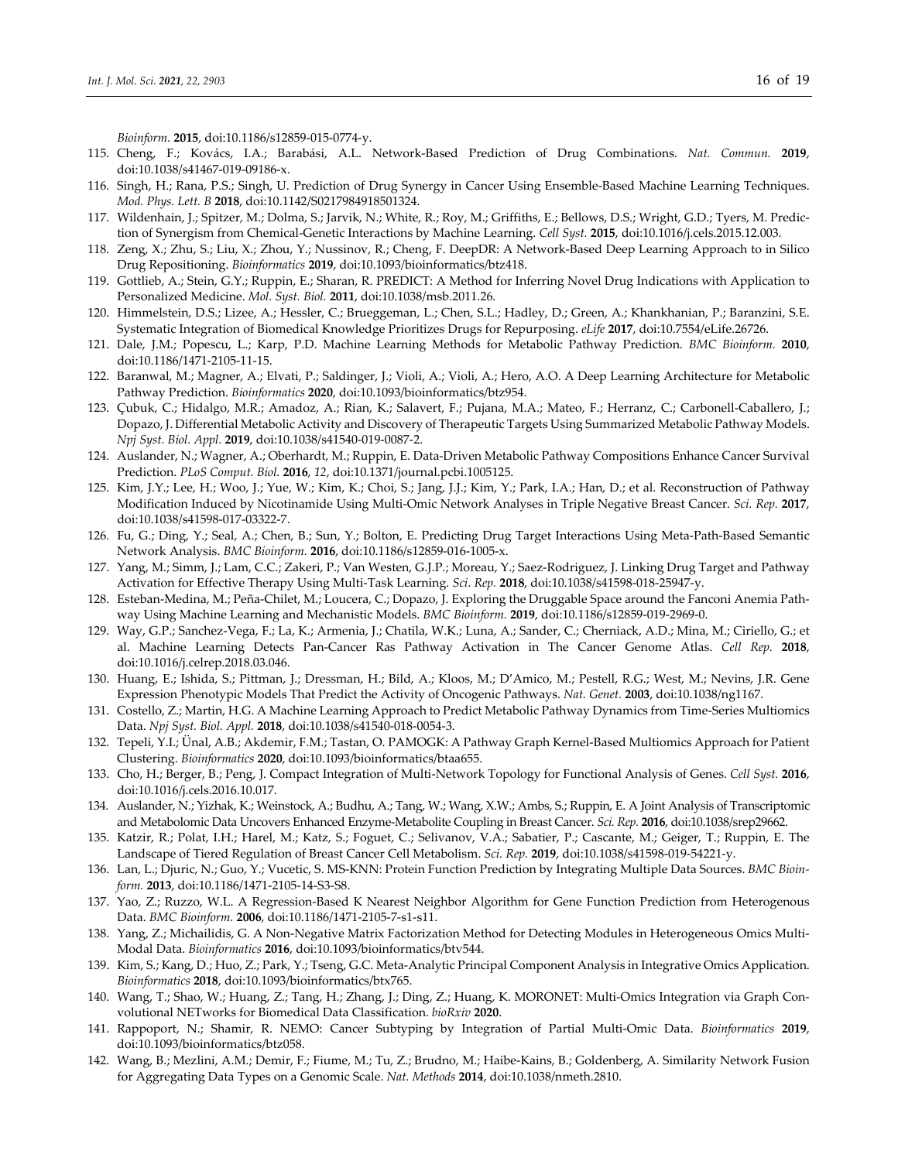*Bioinform.* **2015**, doi:10.1186/s12859‐015‐0774‐y.

- 115. Cheng, F.; Kovács, I.A.; Barabási, A.L. Network‐Based Prediction of Drug Combinations. *Nat. Commun.* **2019**, doi:10.1038/s41467‐019‐09186‐x.
- 116. Singh, H.; Rana, P.S.; Singh, U. Prediction of Drug Synergy in Cancer Using Ensemble‐Based Machine Learning Techniques. *Mod. Phys. Lett. B* **2018**, doi:10.1142/S0217984918501324.
- 117. Wildenhain, J.; Spitzer, M.; Dolma, S.; Jarvik, N.; White, R.; Roy, M.; Griffiths, E.; Bellows, D.S.; Wright, G.D.; Tyers, M. Predic‐ tion of Synergism from Chemical‐Genetic Interactions by Machine Learning. *Cell Syst.* **2015**, doi:10.1016/j.cels.2015.12.003.
- 118. Zeng, X.; Zhu, S.; Liu, X.; Zhou, Y.; Nussinov, R.; Cheng, F. DeepDR: A Network‐Based Deep Learning Approach to in Silico Drug Repositioning. *Bioinformatics* **2019**, doi:10.1093/bioinformatics/btz418.
- 119. Gottlieb, A.; Stein, G.Y.; Ruppin, E.; Sharan, R. PREDICT: A Method for Inferring Novel Drug Indications with Application to Personalized Medicine. *Mol. Syst. Biol.* **2011**, doi:10.1038/msb.2011.26.
- 120. Himmelstein, D.S.; Lizee, A.; Hessler, C.; Brueggeman, L.; Chen, S.L.; Hadley, D.; Green, A.; Khankhanian, P.; Baranzini, S.E. Systematic Integration of Biomedical Knowledge Prioritizes Drugs for Repurposing. *eLife* **2017**, doi:10.7554/eLife.26726.
- 121. Dale, J.M.; Popescu, L.; Karp, P.D. Machine Learning Methods for Metabolic Pathway Prediction. *BMC Bioinform.* **2010**, doi:10.1186/1471‐2105‐11‐15.
- 122. Baranwal, M.; Magner, A.; Elvati, P.; Saldinger, J.; Violi, A.; Violi, A.; Hero, A.O. A Deep Learning Architecture for Metabolic Pathway Prediction. *Bioinformatics* **2020**, doi:10.1093/bioinformatics/btz954.
- 123. Çubuk, C.; Hidalgo, M.R.; Amadoz, A.; Rian, K.; Salavert, F.; Pujana, M.A.; Mateo, F.; Herranz, C.; Carbonell‐Caballero, J.; Dopazo, J. Differential Metabolic Activity and Discovery of Therapeutic Targets Using Summarized Metabolic Pathway Models. *Npj Syst. Biol. Appl.* **2019**, doi:10.1038/s41540‐019‐0087‐2.
- 124. Auslander, N.; Wagner, A.; Oberhardt, M.; Ruppin, E. Data‐Driven Metabolic Pathway Compositions Enhance Cancer Survival Prediction. *PLoS Comput. Biol.* **2016**, *12*, doi:10.1371/journal.pcbi.1005125.
- 125. Kim, J.Y.; Lee, H.; Woo, J.; Yue, W.; Kim, K.; Choi, S.; Jang, J.J.; Kim, Y.; Park, I.A.; Han, D.; et al. Reconstruction of Pathway Modification Induced by Nicotinamide Using Multi‐Omic Network Analyses in Triple Negative Breast Cancer. *Sci. Rep.* **2017**, doi:10.1038/s41598‐017‐03322‐7.
- 126. Fu, G.; Ding, Y.; Seal, A.; Chen, B.; Sun, Y.; Bolton, E. Predicting Drug Target Interactions Using Meta‐Path‐Based Semantic Network Analysis. *BMC Bioinform.* **2016**, doi:10.1186/s12859‐016‐1005‐x.
- 127. Yang, M.; Simm, J.; Lam, C.C.; Zakeri, P.; Van Westen, G.J.P.; Moreau, Y.; Saez‐Rodriguez, J. Linking Drug Target and Pathway Activation for Effective Therapy Using Multi‐Task Learning. *Sci. Rep.* **2018**, doi:10.1038/s41598‐018‐25947‐y.
- 128. Esteban‐Medina, M.; Peña‐Chilet, M.; Loucera, C.; Dopazo, J. Exploring the Druggable Space around the Fanconi Anemia Path‐ way Using Machine Learning and Mechanistic Models. *BMC Bioinform.* **2019**, doi:10.1186/s12859‐019‐2969‐0.
- 129. Way, G.P.; Sanchez‐Vega, F.; La, K.; Armenia, J.; Chatila, W.K.; Luna, A.; Sander, C.; Cherniack, A.D.; Mina, M.; Ciriello, G.; et al. Machine Learning Detects Pan‐Cancer Ras Pathway Activation in The Cancer Genome Atlas. *Cell Rep.* **2018**, doi:10.1016/j.celrep.2018.03.046.
- 130. Huang, E.; Ishida, S.; Pittman, J.; Dressman, H.; Bild, A.; Kloos, M.; D'Amico, M.; Pestell, R.G.; West, M.; Nevins, J.R. Gene Expression Phenotypic Models That Predict the Activity of Oncogenic Pathways. *Nat. Genet.* **2003**, doi:10.1038/ng1167.
- 131. Costello, Z.; Martin, H.G. A Machine Learning Approach to Predict Metabolic Pathway Dynamics from Time-Series Multiomics Data. *Npj Syst. Biol. Appl.* **2018**, doi:10.1038/s41540‐018‐0054‐3.
- 132. Tepeli, Y.I.; Ünal, A.B.; Akdemir, F.M.; Tastan, O. PAMOGK: A Pathway Graph Kernel‐Based Multiomics Approach for Patient Clustering. *Bioinformatics* **2020**, doi:10.1093/bioinformatics/btaa655.
- 133. Cho, H.; Berger, B.; Peng, J. Compact Integration of Multi‐Network Topology for Functional Analysis of Genes. *Cell Syst.* **2016**, doi:10.1016/j.cels.2016.10.017.
- 134. Auslander, N.; Yizhak, K.; Weinstock, A.; Budhu, A.; Tang, W.; Wang, X.W.; Ambs, S.; Ruppin, E. A Joint Analysis of Transcriptomic and Metabolomic Data Uncovers Enhanced Enzyme‐Metabolite Coupling in Breast Cancer. *Sci. Rep.* **2016**, doi:10.1038/srep29662.
- 135. Katzir, R.; Polat, I.H.; Harel, M.; Katz, S.; Foguet, C.; Selivanov, V.A.; Sabatier, P.; Cascante, M.; Geiger, T.; Ruppin, E. The Landscape of Tiered Regulation of Breast Cancer Cell Metabolism. *Sci. Rep.* **2019**, doi:10.1038/s41598‐019‐54221‐y.
- 136. Lan, L.; Djuric, N.; Guo, Y.; Vucetic, S. MS‐KNN: Protein Function Prediction by Integrating Multiple Data Sources. *BMC Bioin‐ form.* **2013**, doi:10.1186/1471‐2105‐14‐S3‐S8.
- 137. Yao, Z.; Ruzzo, W.L. A Regression‐Based K Nearest Neighbor Algorithm for Gene Function Prediction from Heterogenous Data. *BMC Bioinform.* **2006**, doi:10.1186/1471‐2105‐7‐s1‐s11.
- 138. Yang, Z.; Michailidis, G. A Non-Negative Matrix Factorization Method for Detecting Modules in Heterogeneous Omics Multi-Modal Data. *Bioinformatics* **2016**, doi:10.1093/bioinformatics/btv544.
- 139. Kim, S.; Kang, D.; Huo, Z.; Park, Y.; Tseng, G.C. Meta‐Analytic Principal Component Analysis in Integrative Omics Application. *Bioinformatics* **2018**, doi:10.1093/bioinformatics/btx765.
- 140. Wang, T.; Shao, W.; Huang, Z.; Tang, H.; Zhang, J.; Ding, Z.; Huang, K. MORONET: Multi-Omics Integration via Graph Convolutional NETworks for Biomedical Data Classification. *bioRxiv* **2020**.
- 141. Rappoport, N.; Shamir, R. NEMO: Cancer Subtyping by Integration of Partial Multi‐Omic Data. *Bioinformatics* **2019**, doi:10.1093/bioinformatics/btz058.
- 142. Wang, B.; Mezlini, A.M.; Demir, F.; Fiume, M.; Tu, Z.; Brudno, M.; Haibe‐Kains, B.; Goldenberg, A. Similarity Network Fusion for Aggregating Data Types on a Genomic Scale. *Nat. Methods* **2014**, doi:10.1038/nmeth.2810.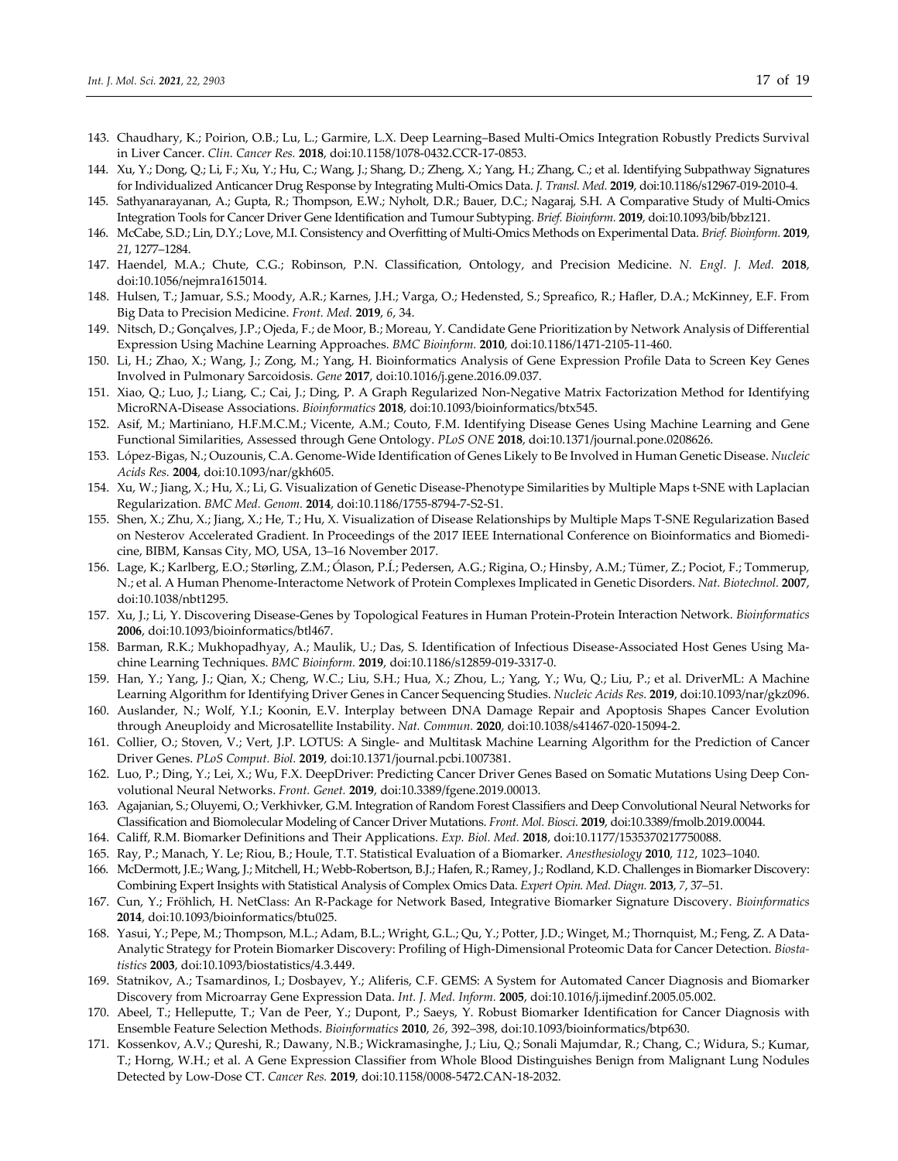- 143. Chaudhary, K.; Poirion, O.B.; Lu, L.; Garmire, L.X. Deep Learning–Based Multi‐Omics Integration Robustly Predicts Survival in Liver Cancer. *Clin. Cancer Res.* **2018**, doi:10.1158/1078‐0432.CCR‐17‐0853.
- 144. Xu, Y.; Dong, Q.; Li, F.; Xu, Y.; Hu, C.; Wang, J.; Shang, D.; Zheng, X.; Yang, H.; Zhang, C.; et al. Identifying Subpathway Signatures for Individualized Anticancer Drug Response by Integrating Multi‐Omics Data. *J. Transl. Med.* **2019**, doi:10.1186/s12967‐019‐2010‐4.
- 145. Sathyanarayanan, A.; Gupta, R.; Thompson, E.W.; Nyholt, D.R.; Bauer, D.C.; Nagaraj, S.H. A Comparative Study of Multi‐Omics Integration Tools for Cancer Driver Gene Identification and Tumour Subtyping. *Brief. Bioinform.* **2019**, doi:10.1093/bib/bbz121.
- 146. McCabe, S.D.; Lin, D.Y.; Love, M.I. Consistency and Overfitting of Multi‐Omics Methods on Experimental Data. *Brief. Bioinform.* **2019**, *21*, 1277–1284.
- 147. Haendel, M.A.; Chute, C.G.; Robinson, P.N. Classification, Ontology, and Precision Medicine. *N. Engl. J. Med.* **2018**, doi:10.1056/nejmra1615014.
- 148. Hulsen, T.; Jamuar, S.S.; Moody, A.R.; Karnes, J.H.; Varga, O.; Hedensted, S.; Spreafico, R.; Hafler, D.A.; McKinney, E.F. From Big Data to Precision Medicine. *Front. Med.* **2019**, *6*, 34.
- 149. Nitsch, D.; Gonçalves, J.P.; Ojeda, F.; de Moor, B.; Moreau, Y. Candidate Gene Prioritization by Network Analysis of Differential Expression Using Machine Learning Approaches. *BMC Bioinform.* **2010**, doi:10.1186/1471‐2105‐11‐460.
- 150. Li, H.; Zhao, X.; Wang, J.; Zong, M.; Yang, H. Bioinformatics Analysis of Gene Expression Profile Data to Screen Key Genes Involved in Pulmonary Sarcoidosis. *Gene* **2017**, doi:10.1016/j.gene.2016.09.037.
- 151. Xiao, Q.; Luo, J.; Liang, C.; Cai, J.; Ding, P. A Graph Regularized Non‐Negative Matrix Factorization Method for Identifying MicroRNA‐Disease Associations. *Bioinformatics* **2018**, doi:10.1093/bioinformatics/btx545.
- 152. Asif, M.; Martiniano, H.F.M.C.M.; Vicente, A.M.; Couto, F.M. Identifying Disease Genes Using Machine Learning and Gene Functional Similarities, Assessed through Gene Ontology. *PLoS ONE* **2018**, doi:10.1371/journal.pone.0208626.
- 153. López‐Bigas, N.; Ouzounis, C.A. Genome‐Wide Identification of Genes Likely to Be Involved in Human Genetic Disease. *Nucleic Acids Res.* **2004**, doi:10.1093/nar/gkh605.
- 154. Xu, W.; Jiang, X.; Hu, X.; Li, G. Visualization of Genetic Disease‐Phenotype Similarities by Multiple Maps t‐SNE with Laplacian Regularization. *BMC Med. Genom.* **2014**, doi:10.1186/1755‐8794‐7‐S2‐S1.
- 155. Shen, X.; Zhu, X.; Jiang, X.; He, T.; Hu, X. Visualization of Disease Relationships by Multiple Maps T‐SNE Regularization Based on Nesterov Accelerated Gradient. In Proceedings of the 2017 IEEE International Conference on Bioinformatics and Biomedi‐ cine, BIBM, Kansas City, MO, USA, 13–16 November 2017.
- 156. Lage, K.; Karlberg, E.O.; Størling, Z.M.; Ólason, P.Í.; Pedersen, A.G.; Rigina, O.; Hinsby, A.M.; Tümer, Z.; Pociot, F.; Tommerup, N.; et al. A Human Phenome‐Interactome Network of Protein Complexes Implicated in Genetic Disorders. *Nat. Biotechnol.* **2007**, doi:10.1038/nbt1295.
- 157. Xu, J.; Li, Y. Discovering Disease‐Genes by Topological Features in Human Protein‐Protein Interaction Network. *Bioinformatics* **2006**, doi:10.1093/bioinformatics/btl467.
- 158. Barman, R.K.; Mukhopadhyay, A.; Maulik, U.; Das, S. Identification of Infectious Disease-Associated Host Genes Using Machine Learning Techniques. *BMC Bioinform.* **2019**, doi:10.1186/s12859‐019‐3317‐0.
- 159. Han, Y.; Yang, J.; Qian, X.; Cheng, W.C.; Liu, S.H.; Hua, X.; Zhou, L.; Yang, Y.; Wu, Q.; Liu, P.; et al. DriverML: A Machine Learning Algorithm for Identifying Driver Genes in Cancer Sequencing Studies. *Nucleic Acids Res.* **2019**, doi:10.1093/nar/gkz096.
- 160. Auslander, N.; Wolf, Y.I.; Koonin, E.V. Interplay between DNA Damage Repair and Apoptosis Shapes Cancer Evolution through Aneuploidy and Microsatellite Instability. *Nat. Commun.* **2020**, doi:10.1038/s41467‐020‐15094‐2.
- 161. Collier, O.; Stoven, V.; Vert, J.P. LOTUS: A Single‐ and Multitask Machine Learning Algorithm for the Prediction of Cancer Driver Genes. *PLoS Comput. Biol.* **2019**, doi:10.1371/journal.pcbi.1007381.
- 162. Luo, P.; Ding, Y.; Lei, X.; Wu, F.X. DeepDriver: Predicting Cancer Driver Genes Based on Somatic Mutations Using Deep Con‐ volutional Neural Networks. *Front. Genet.* **2019**, doi:10.3389/fgene.2019.00013.
- 163. Agajanian, S.; Oluyemi, O.; Verkhivker, G.M. Integration of Random Forest Classifiers and Deep Convolutional Neural Networks for Classification and Biomolecular Modeling of Cancer Driver Mutations. *Front. Mol. Biosci.* **2019**, doi:10.3389/fmolb.2019.00044.
- 164. Califf, R.M. Biomarker Definitions and Their Applications. *Exp. Biol. Med.* **2018**, doi:10.1177/1535370217750088.
- 165. Ray, P.; Manach, Y. Le; Riou, B.; Houle, T.T. Statistical Evaluation of a Biomarker. *Anesthesiology* **2010**, *112*, 1023–1040.
- 166. McDermott, J.E.; Wang, J.; Mitchell, H.; Webb‐Robertson, B.J.; Hafen, R.; Ramey, J.; Rodland, K.D. Challenges in Biomarker Discovery: Combining Expert Insights with Statistical Analysis of Complex Omics Data. *Expert Opin. Med. Diagn.* **2013**, *7*, 37–51.
- 167. Cun, Y.; Fröhlich, H. NetClass: An R‐Package for Network Based, Integrative Biomarker Signature Discovery. *Bioinformatics* **2014**, doi:10.1093/bioinformatics/btu025.
- 168. Yasui, Y.; Pepe, M.; Thompson, M.L.; Adam, B.L.; Wright, G.L.; Qu, Y.; Potter, J.D.; Winget, M.; Thornquist, M.; Feng, Z. A Data‐ Analytic Strategy for Protein Biomarker Discovery: Profiling of High‐Dimensional Proteomic Data for Cancer Detection. *Biosta‐ tistics* **2003**, doi:10.1093/biostatistics/4.3.449.
- 169. Statnikov, A.; Tsamardinos, I.; Dosbayev, Y.; Aliferis, C.F. GEMS: A System for Automated Cancer Diagnosis and Biomarker Discovery from Microarray Gene Expression Data. *Int. J. Med. Inform.* **2005**, doi:10.1016/j.ijmedinf.2005.05.002.
- 170. Abeel, T.; Helleputte, T.; Van de Peer, Y.; Dupont, P.; Saeys, Y. Robust Biomarker Identification for Cancer Diagnosis with Ensemble Feature Selection Methods. *Bioinformatics* **2010**, *26*, 392–398, doi:10.1093/bioinformatics/btp630.
- 171. Kossenkov, A.V.; Qureshi, R.; Dawany, N.B.; Wickramasinghe, J.; Liu, Q.; Sonali Majumdar, R.; Chang, C.; Widura, S.; Kumar, T.; Horng, W.H.; et al. A Gene Expression Classifier from Whole Blood Distinguishes Benign from Malignant Lung Nodules Detected by Low‐Dose CT. *Cancer Res.* **2019**, doi:10.1158/0008‐5472.CAN‐18‐2032.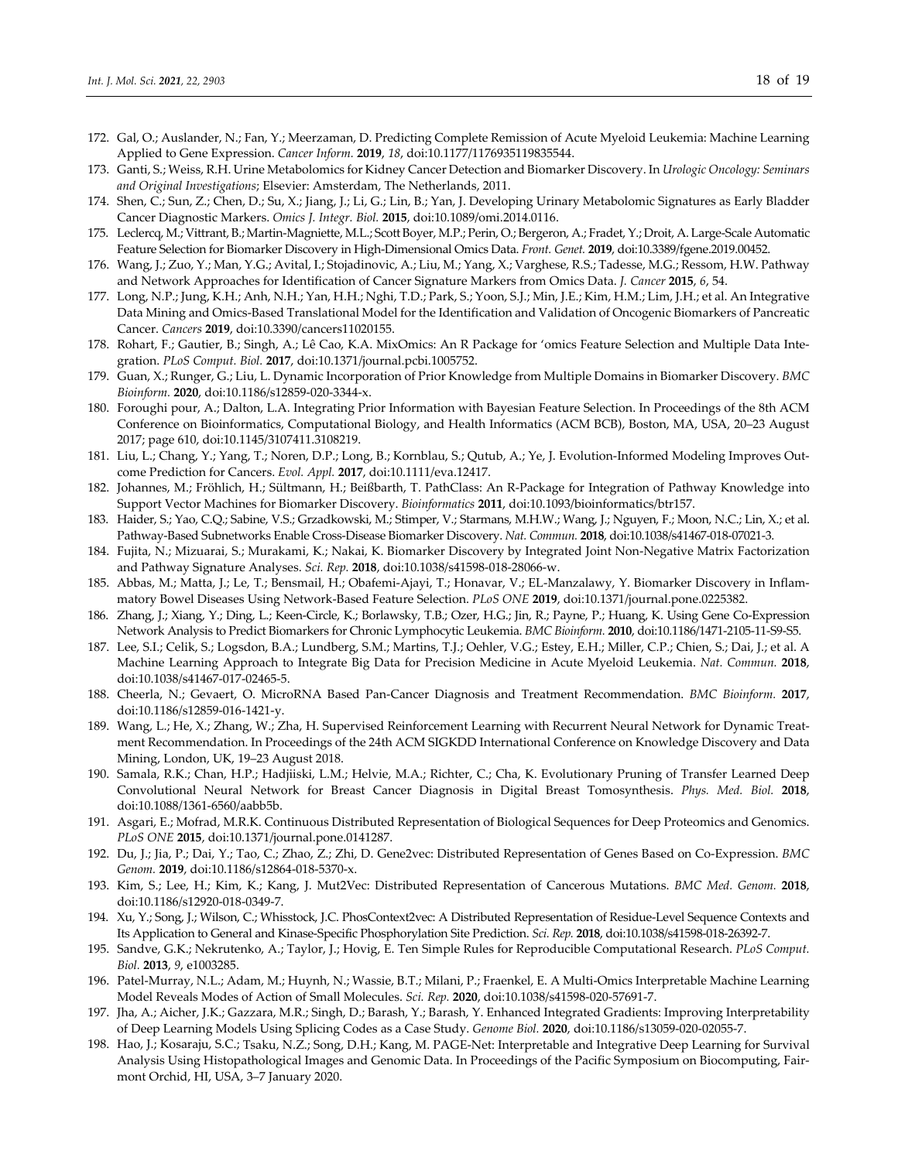- 172. Gal, O.; Auslander, N.; Fan, Y.; Meerzaman, D. Predicting Complete Remission of Acute Myeloid Leukemia: Machine Learning Applied to Gene Expression. *Cancer Inform.* **2019**, *18*, doi:10.1177/1176935119835544.
- 173. Ganti, S.; Weiss, R.H. Urine Metabolomics for Kidney Cancer Detection and Biomarker Discovery. In *Urologic Oncology: Seminars and Original Investigations*; Elsevier: Amsterdam, The Netherlands, 2011.
- 174. Shen, C.; Sun, Z.; Chen, D.; Su, X.; Jiang, J.; Li, G.; Lin, B.; Yan, J. Developing Urinary Metabolomic Signatures as Early Bladder Cancer Diagnostic Markers. *Omics J. Integr. Biol.* **2015**, doi:10.1089/omi.2014.0116.
- 175. Leclercq, M.; Vittrant, B.; Martin‐Magniette, M.L.; Scott Boyer, M.P.; Perin, O.; Bergeron, A.; Fradet, Y.; Droit, A. Large‐Scale Automatic Feature Selection for Biomarker Discovery in High‐Dimensional Omics Data. *Front. Genet.* **2019**, doi:10.3389/fgene.2019.00452.
- 176. Wang, J.; Zuo, Y.; Man, Y.G.; Avital, I.; Stojadinovic, A.; Liu, M.; Yang, X.; Varghese, R.S.; Tadesse, M.G.; Ressom, H.W. Pathway and Network Approaches for Identification of Cancer Signature Markers from Omics Data. *J. Cancer* **2015**, *6*, 54.
- 177. Long, N.P.; Jung, K.H.; Anh, N.H.; Yan, H.H.; Nghi, T.D.; Park, S.; Yoon, S.J.; Min, J.E.; Kim, H.M.; Lim, J.H.; et al. An Integrative Data Mining and Omics‐Based Translational Model for the Identification and Validation of Oncogenic Biomarkers of Pancreatic Cancer. *Cancers* **2019**, doi:10.3390/cancers11020155.
- 178. Rohart, F.; Gautier, B.; Singh, A.; Lê Cao, K.A. MixOmics: An R Package for 'omics Feature Selection and Multiple Data Inte‐ gration. *PLoS Comput. Biol.* **2017**, doi:10.1371/journal.pcbi.1005752.
- 179. Guan, X.; Runger, G.; Liu, L. Dynamic Incorporation of Prior Knowledge from Multiple Domains in Biomarker Discovery. *BMC Bioinform.* **2020**, doi:10.1186/s12859‐020‐3344‐x.
- 180. Foroughi pour, A.; Dalton, L.A. Integrating Prior Information with Bayesian Feature Selection. In Proceedings of the 8th ACM Conference on Bioinformatics, Computational Biology, and Health Informatics (ACM BCB), Boston, MA, USA, 20–23 August 2017; page 610, doi:10.1145/3107411.3108219.
- 181. Liu, L.; Chang, Y.; Yang, T.; Noren, D.P.; Long, B.; Kornblau, S.; Qutub, A.; Ye, J. Evolution‐Informed Modeling Improves Out‐ come Prediction for Cancers. *Evol. Appl.* **2017**, doi:10.1111/eva.12417.
- 182. Johannes, M.; Fröhlich, H.; Sültmann, H.; Beißbarth, T. PathClass: An R‐Package for Integration of Pathway Knowledge into Support Vector Machines for Biomarker Discovery. *Bioinformatics* **2011**, doi:10.1093/bioinformatics/btr157.
- 183. Haider, S.; Yao, C.Q.; Sabine, V.S.; Grzadkowski, M.; Stimper, V.; Starmans, M.H.W.; Wang, J.; Nguyen, F.; Moon, N.C.; Lin, X.; et al. Pathway‐Based Subnetworks Enable Cross‐Disease Biomarker Discovery. *Nat. Commun.* **2018**, doi:10.1038/s41467‐018‐07021‐3.
- 184. Fujita, N.; Mizuarai, S.; Murakami, K.; Nakai, K. Biomarker Discovery by Integrated Joint Non‐Negative Matrix Factorization and Pathway Signature Analyses. *Sci. Rep.* **2018**, doi:10.1038/s41598‐018‐28066‐w.
- 185. Abbas, M.; Matta, J.; Le, T.; Bensmail, H.; Obafemi‐Ajayi, T.; Honavar, V.; EL‐Manzalawy, Y. Biomarker Discovery in Inflam‐ matory Bowel Diseases Using Network‐Based Feature Selection. *PLoS ONE* **2019**, doi:10.1371/journal.pone.0225382.
- 186. Zhang, J.; Xiang, Y.; Ding, L.; Keen‐Circle, K.; Borlawsky, T.B.; Ozer, H.G.; Jin, R.; Payne, P.; Huang, K. Using Gene Co‐Expression Network Analysis to Predict Biomarkers for Chronic Lymphocytic Leukemia. *BMC Bioinform.* **2010**, doi:10.1186/1471‐2105‐11‐S9‐S5.
- 187. Lee, S.I.; Celik, S.; Logsdon, B.A.; Lundberg, S.M.; Martins, T.J.; Oehler, V.G.; Estey, E.H.; Miller, C.P.; Chien, S.; Dai, J.; et al. A Machine Learning Approach to Integrate Big Data for Precision Medicine in Acute Myeloid Leukemia. *Nat. Commun.* **2018**, doi:10.1038/s41467‐017‐02465‐5.
- 188. Cheerla, N.; Gevaert, O. MicroRNA Based Pan‐Cancer Diagnosis and Treatment Recommendation. *BMC Bioinform.* **2017**, doi:10.1186/s12859‐016‐1421‐y.
- 189. Wang, L.; He, X.; Zhang, W.; Zha, H. Supervised Reinforcement Learning with Recurrent Neural Network for Dynamic Treatment Recommendation. In Proceedings of the 24th ACM SIGKDD International Conference on Knowledge Discovery and Data Mining, London, UK, 19–23 August 2018.
- 190. Samala, R.K.; Chan, H.P.; Hadjiiski, L.M.; Helvie, M.A.; Richter, C.; Cha, K. Evolutionary Pruning of Transfer Learned Deep Convolutional Neural Network for Breast Cancer Diagnosis in Digital Breast Tomosynthesis. *Phys. Med. Biol.* **2018**, doi:10.1088/1361‐6560/aabb5b.
- 191. Asgari, E.; Mofrad, M.R.K. Continuous Distributed Representation of Biological Sequences for Deep Proteomics and Genomics. *PLoS ONE* **2015**, doi:10.1371/journal.pone.0141287.
- 192. Du, J.; Jia, P.; Dai, Y.; Tao, C.; Zhao, Z.; Zhi, D. Gene2vec: Distributed Representation of Genes Based on Co‐Expression. *BMC Genom.* **2019**, doi:10.1186/s12864‐018‐5370‐x.
- 193. Kim, S.; Lee, H.; Kim, K.; Kang, J. Mut2Vec: Distributed Representation of Cancerous Mutations. *BMC Med. Genom.* **2018**, doi:10.1186/s12920‐018‐0349‐7.
- 194. Xu, Y.; Song, J.; Wilson, C.; Whisstock, J.C. PhosContext2vec: A Distributed Representation of Residue‐Level Sequence Contexts and Its Application to General and Kinase‐Specific Phosphorylation Site Prediction. *Sci. Rep.* **2018**, doi:10.1038/s41598‐018‐26392‐7.
- 195. Sandve, G.K.; Nekrutenko, A.; Taylor, J.; Hovig, E. Ten Simple Rules for Reproducible Computational Research. *PLoS Comput. Biol.* **2013**, *9*, e1003285.
- 196. Patel‐Murray, N.L.; Adam, M.; Huynh, N.; Wassie, B.T.; Milani, P.; Fraenkel, E. A Multi‐Omics Interpretable Machine Learning Model Reveals Modes of Action of Small Molecules. *Sci. Rep.* **2020**, doi:10.1038/s41598‐020‐57691‐7.
- 197. Jha, A.; Aicher, J.K.; Gazzara, M.R.; Singh, D.; Barash, Y.; Barash, Y. Enhanced Integrated Gradients: Improving Interpretability of Deep Learning Models Using Splicing Codes as a Case Study. *Genome Biol.* **2020**, doi:10.1186/s13059‐020‐02055‐7.
- 198. Hao, J.; Kosaraju, S.C.; Tsaku, N.Z.; Song, D.H.; Kang, M. PAGE‐Net: Interpretable and Integrative Deep Learning for Survival Analysis Using Histopathological Images and Genomic Data. In Proceedings of the Pacific Symposium on Biocomputing, Fair‐ mont Orchid, HI, USA, 3–7 January 2020.